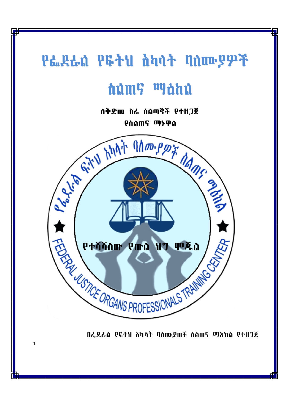# PL RLN PG+U hhn+ nnmpp7

# dûm? <sup>w</sup>dhû

ስቅድመ ስራ ሰልጣኛች የተዘጋጀ የስልጠና ማኑዋል



 $\overline{1}$ 

በፌደራስ የፍትህ ሸካሳት ባስሙያወች ስስጠና ማእከል የተዘጋጀ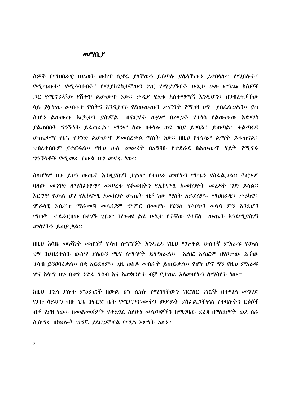#### $\boldsymbol{\sigma}$ <sup> $\boldsymbol{\eta}$ </sup> $\boldsymbol{\Omega}$

ሰዎች በማህበራዊ ህይወት ውስጥ ሲኖሩ ያላቸውን ይሰጣሉ ያሴላቸውን ይቀበላሉ። የሚበሉት፣ የሚጠጡት፤ የሚ33ዙበት፤ የሚያስደስታቸውን ነገር የሚያገኙበት ሁኔታ ሁሉ ምንጩ ከሰዎች ላይ ያሏቸው መብቶች ዋስትና እንዲያገኙ የልውውጡን ሥርዓት የሚገዛ ህግ ያስፌልጋልን፡፡ ይህ ሲሆን ልወውጡ እርካታን ያስገኛል፤ በፍርሃት ወይም በሥ*ጋ*ት የተነሳ የልውውጡ አድማስ ያልጠበበት ግንኙነት ይፌጠራል፤ ማንም ሰው በቀሳሱ ወደ ገበያ ይገባል፤ ይወጣል፤ ቀልጣፋና ውጤታማ የሆነ የንግድ ልውውጥ ይመሰረታል ማስት ነው። በዚህ የተነሳም ልማት ይፋጠናል፣ ህብረተሰቡም ይተርፋል፡፡ የዚህ ሁሉ መሠረት በአግባቡ የተደራጀ በልውውጥ ሂደት የሚኖሩ *ግንኙነቶች የሚመራ የ*ውል *ህግ መ*ኖሩ ነው።

ስለሆነም ህን ይህን ውጤት እንዲያስገኝ ታልሞ የተሠራ መሆኑን ማጤን ያስፌልጋል። ትርጉም ባለው መንገድ ሰማስፌፀምም መሠረቱ የቆመበትን የኢኮኖሚ አመክንዮት መረዳት ግድ ይሳል፡፡ እርግጥ የውል ህግ የኢኮኖሚ አመክንዮ ውጤት ብቻ ነው ማስት አይደስም፡፡ ማህበራዊ፣ ታሪካዊ፣ ሞራሳዊ እሴቶች ማራመጃ መሳሪያም ጭምር በመሆኑ የፅንስ ሃሳቦቹን መነሻ ምን እንደሆን ማወቅ፤ ተደራርበው በተገኙ ጊዜም በየጉዳዩ ልዩ ሁኔታ የትኛው የተሻሰ ውጤት እንደሚያስገኝ መሰየትን ይጠይቃል።

በዚህ እሳቤ መነሻነት መጠነኛ ሃሳብ ስማግኘት እንዳረዳ የዚህ ማኮዋል ሁሰተኛ ምእራፍ የውል ህግ በህብረተሰቡ ውስጥ ያለውን ሚና ለማሳየት ይሞክራል፡፡ አልፎ አልፎም በየቦታው ይኸው ሃሳብ ይንፀባረቃል። በቂ አይደለም። ጊዜ ወስዶ መስራት ይጠይቃል። የሆነ ሆኖ ግን የዚህ ምእራፍ ዋና አሳማ ህን በሀግ ንድፌ ሃሳብ እና አመክንዮት ብቻ የታጠረ አስመሆኑን ስማሳየት ነው።

ከዚህ በኋላ ያሉት ምዕራፎች በውል ህግ ሊነሱ የሚገባቸውን ዝርዝር ነገሮች በተማሳ መንገድ <u>የያዙ ሳይሆን ብዙ 2ዜ በፍርድ ቤት የሚያ*ጋ*ጥሙትን ውይይት ያስራል*ጋ*ቸዋል የተባሉትን ር*ዕ*ሶች</u> ብቻ የያዘ ነው። በመልመጃዎች የተደገሬ ስለሆነ ሠልጣኞችን በሚገባው ደረጃ በማወያየት ወደ ስራ ሲሰማሩ በክህሎት ዝግጁ ያደር ጋቸዋል የሚል እምነት አለን፡፡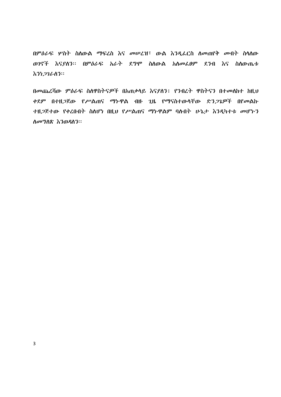በምዕራፍ ሦስት ስለውል ማፍረስ እና መሠረዝ፣ ውል እንዲፌርስ ለመጠየቅ መብት ስላለው ወንኖች እናያለን። በምዕራፍ አራት ደግሞ ስለውል አለመፌፀም ደንብ እና ስለውጤቱ ネንነ*ጋገ*ራለን።

በመጨረሻው ምዕራፍ ስለዋስትናዎች በአጠቃላይ እናያለን፤ የንብረት ዋስትናን በተመለከተ ከዚህ ቀደም በተዘ*ጋ*ጀው የሥልጠና ማኮዋል ብዙ ጊዜ የማናስተውሳቸው ድን*ጋጌ*ዎች በየመልኩ ተዘ*ጋ*ጅተው የቀረቡበት ስለሆነ በዚህ የሥልጠና ማኮዋልም ባሉበት ሁኔታ እንዲካተቱ መሆኑን ስመግስጽ እንወዳስን።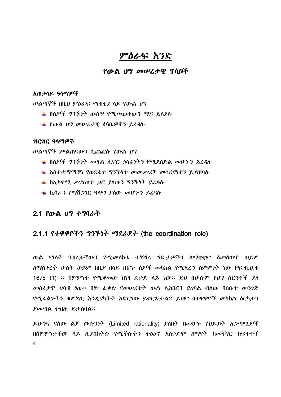# ምዕራፍ አንድ

# የውል ህግ መሠረታዊ ሃሳቦች

#### አጠቃሳይ ዓላማዎች

ሠልጣኞች በዚህ ምዕራፍ ማብቂያ ሳይ የውል ህግ

- ่ ∎ በሰዎች ግንኙነት ውስጥ የሚጫወተውን ሚና ይለያሉ
- ₩ የውል ህግ መሠረታዊ ስሳቤዎችን ይረዳሉ

### ዝርዝር ዓላማዎች

ሥልጣኞች ሥልጠናውን ሲጨርሱ የውል ህግ

- $\,\,\blackdownarrow\,$  በሰዎች ግንኙነት መዛል ሲኖር ኃሳፊነትን የሚደሰድል መሆኑን ይረዳሱ
- $\frac{1}{2}$  አስተተማማኘኝ የወደፊት ግንኙነት መመሥረቻ መሳሪያነቱን ይገነዘባሉ
- $\frac{1}{2}$  ከኢኮኖሚ ሥልጠት ጋር ያስውን ግንኙነት ይፈዳሱ
- ➡ ኪሳራን የማሽ*ጋገ*ር ዓላማ ያስው መሆኑን ይረዳሱ

## 2.1 የውል ህግ ተግባራት

# 2.1.1 የተዋዋዮችን ግንኙነት ማደራጀት (the coordination role)

ውል ማስት ንብረታቸውን የሚመስከቱ ተነፃፃሪ ግዴታዎችን ስማቋቋም ስመስወጥ ወይም ሰማስቀረት ሁለት ወይም ከዚያ በላይ በሆኑ ሰዎች መካከል የሚደረግ ስምምነት ነው የፍ.ብ.ህ.ቁ 1675 (1) ፡፡ ስምምነቱ የሚቆመው በነፃ ፌቃድ ላይ ነው፡፡ ይህ በሁሱም የህግ ስርዓቶች ያለ መስረታዊ ሀሳብ ነው። በነፃ ፌቃድ የመሠረቱት ውል ለ.ከበርን ይገባል ብለው ባሰቡት መንገድ የሚፌልጉትን ቁምካገር እንዲያካትት አድርገው ይቀርጹታል። ይህም በተዋዋዮች መካከል ዕርካታን ያመጣል ተብሎ ይታሰባል።

ይሁንና የሰው ልጅ ውሱንነት (Limited rationality) ያስበት በመሆኑ የህይወት አጋጣሚዎች በስምምነታቸው ሳይ ሲያስከትሉ የሚችሉትን ተፅዕኖ አስቀድሞ ለማየት ከመቸገር ክፍተቶቸ  $\overline{4}$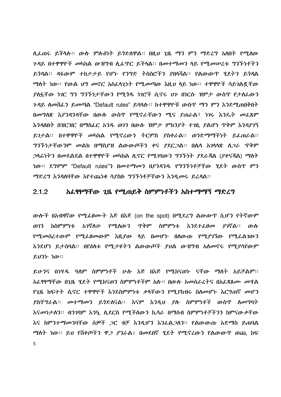ሊፌጠሩ ይችሳሉ። ውሉ ምሉዕነት ይጎድሰዋል። በዚህ ጊዜ ማን ምን ማድሬግ አስበት የሚሰው ንዳይ በተዋዋዮች መካከል ውዝግብ ሲፌዋር ይችሳል። በመተማመን ላይ የሚመሠረቱ ግንኙነቶችን ይጎዳል፡፡ ዳፋውም ተከታታይ የሆኑ የንግድ ትስስሮችን ያበሳሻል፡፡ የልውውጥ ሂደትን ይጎዳል ማስት ነው። የውል ህግ መኖር አስፌሳጊነት የሚመጣው እዚህ ሳይ ነው። ተዋዋዮች ሳይገልጿቸው ያስፏቸው ነገር ግን ግንኙነታቸውን የሚጎዱ ነገሮች ሲኖሩ ህጉ በነርሱ ዝምታ ውስጥ የታስፌውን *ጉዳ*ይ ለመሸፈን ይመጣል "Default rules" ይባላሉ፡፡ ከተዋዋዮቹ ውስጥ ማን ምን እንደሚጠበቅበት በመግለጽ እያንዳንዳቸው በውሱ ውስጥ የሚኖራቸውን ሚና ያጠራል፣ ነገሩ እንዴት መፌጸም እንዳለበት በዝርዝር በማስፌር አንዱ ወገን በውሱ ዝምታ ምክንያት ተገቢ ያልሆነ ጥቅም እንዳያገኝ ይገታል፡፡ በተዋዋዮች መካከል የሚኖረውን ትርምስ ያስቀራል፡፡ ወንድማማችነት ይፌጠራል፡፡ ግንኙነታቸውንም መልክ በማስያዝ ልውውጦችን ቀና ያደር*ጋ*ል። በሌላ አ*ገ*ላላጽ ለ*ጋራ* ጥቅም *ኃ*ሳፊነትን በመደልደል በተዋዋዮች መካከል ሲኖር የሚገባውን ግንኙነት *ያ*ደራጃል (ያቀናጃል) ማስት ነው። ደግምም "Default rules"ን በመተማመን በ*ያንዳንዱ የግንኙነቶቻቸ*ው ሂደት ውስጥ ምን ማድረግ እንዳሰባቸው እየተጨነቁ ሳያስቡ ግንኙነቶቻቸውን እንዲመሩ ይረዳል፡፡

#### አፌፃፃማቸው ጊዜ የሚጠይቅ ስምምነቶችን አስተማማኝ ማድረግ  $2.1.2$

ውሎች በአብዛኛው የሚፌፀሙት እጅ በእጅ (on the spot) በሚደረግ ልውውጥ ሲሆን የትኛውም እንደተፈፀመ ያገኛል። ውሱ ወገን ከስምምነቱ አገኛለሁ የሚሰውን ጥቅም ስምምነቱ የሚመሰረተውም የሚፌፀመውም እዚያው ላይ በመሆኑ በሰውጡ የሚያገኘው የሚፌልገውን እንደሆነ ይታሰባል፡፡ በየዕስቱ የሚታዩትን ልውውጦች ያህል ውዝግብ አስመኖሩ የሚያሳየውም ይህንት ነው።

ይሁንና በገሃዱ ዓለም ስምምነቶች ሁሉ እጅ በእጅ የሚከናወኮ ናቸው ማለት አይቻልም፡፡ አፈፃፃማቸው በንዜ ሃደት የማከናወን ስምምነቶችም አሉ። በውሉ አመስራሪትና በአፈጸጸሙ መሃል የጊዜ ክፍተት ሲኖር ተዋዋዮች እንደስምምነቱ ቃላቸውን የሚያከብሩ ስለመሆኑ እርግጠኛ መሆን ያስቸግራል፡፡ መተማመን ይጎድለናል፡፡ እናም እንዲህ ያሉ ስምምነቶች ውስጥ ስመግባት እናመነታለን፡፡ ብንገባም እንኳ ሲደርስ የሚችለውን ኪሳራ በማሰብ ስምምነቶቻችንን ከምናውቃቸው እና ከምንተማመንባቸው ሰ*ዎች ጋ*ር ብቻ እንዲሆን እንፌል*ጋ*ሰን። የልውውጡ አድማስ ይጠባል ማስት ነው። ይህ የሽቀጦችን ዋ*ጋ ያን*ራል፤ በመደበኛ ሂደት የሚኖረውን የልውውጥ ወጪ ከፍ 5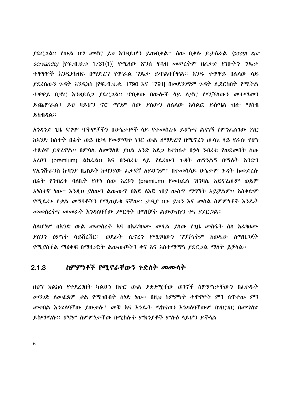$\beta$ ደር ጋል። የውል ህግ መኖር ይህ እንዳይሆን ይጠብቃል። ሰው በቃስ ይታሰራል (pacta sur servanda) [የፍ.ብ.ህ.ቁ 1731(1)] የሚለው ጽንስ ሃሳብ መሠረትም በፌቃድ የገቡትን ግጼታ ተዋዋዮች እንዲያከብሩ በማድረግ የሞራል ግዴታ ይዋልባቸዋል፡፡ አንዱ ተዋዋይ በሴሳው ሳይ *ያ*ደረሰውን ጉዳት እንዲክስ [የፍ.ብ.ሀ.ቁ. 1790 እና 1791[ በመደንገግም ጉዳት ሲደርስበት የሚችል ይጨምራል፤ ይህ ባይሆን ኖሮ ማንም ሰው ያሰውን ስሴሳው አሳልፎ ይሰጣል ብሎ ማሰብ ይከብዳል፡፡

አንዳንድ ጊዜ ደግሞ ጥቅሞቻችን በሁኔታዎች ሳይ የተመሰረቱ ይሆኑና ልናገኝ የምንፌልገው ነገር ከአንድ ክስተት በፊት ወይ በኃላ የመምጣቱ ነገር ውል ስማድረግ በሚኖረን ውሳኔ ላይ የራሱ የሆነ ተጽዕኖ ይኖረዋል። በምሳሴ ስመግለጽ ያህል አንድ አደ*ጋ* ከተከሰተ በኃሳ ንብረቱ የወደመበት ሰው አፈቦን (premium) ልክፌልህ እና በንብረቴ ሳይ የደረውን ጉዳት ጠግንልኝ በማስት አንድን የኢንሹራንስ ኩባንያ ቢጠይቅ ኩባንያው ፌቃደኛ አይሆንም፤ በተመሳሳይ ሁኔታም ጉዳት ከመድረሱ በራት የንብረቱ ባለቤት የሆነ ሰው አረቦን (premium) የመክፌል ዝንባሴ አይኖረውም ወይም አነስተኛ ነው። እንዲህ ያለውን ልውውጥ በእጅ ለእጅ ገበያ ውስጥ ማግኘት አይቻልም። አስቀድሞ የሚደረጉ የቃል መግባቶችን የሚጠይቁ ናቸው:: ታዲያ ህጉ ይህን እና መሰል ስምምነቶች እንዴት መመስረትና መመራት እንዳለባቸው ሥርዓት በማበጀት ልውውጡን ቀና ያደር*ጋ*ል።

ስስሆነም በአንድ ውል መመስረት እና በአፌፃፀሙ መሃል ያሰው የጊዜ መስፋት ስስ አፌፃፀሙ ያስንን ዕምነት ሳይሽረሽር፤ ወደፊት ሲኖረን የሚገባውን ግንኙነትም ከወዲሁ ስማዘ*ጋ*ጀት የሚያስችል ማዕቀፍ በማዘጋጀት ልውውጦችን ቀና እና አስተማማኝ ያደርጋል ማለት ይቻላል፡፡

#### $2.1.3$ ስምምነቶች የሚኖራቸውን ንድስት መሙሳት

በህግ ክልከሳ የተደረገበት ካልሆነ በቀር ውል ያቋቋማቸው ወገኖች ስምምነታቸውን በፌቀዱት መንገድ ስመፌጸም ቃል የሚጋቡበት ሰነድ ነው። በዚህ ስምምነት ተዋዋዮች ምን ስጥተው ምን መቀበል እንደለባቸው ደውቃሉ፤ መቼ እና እንዴት ማከናወን እንዳለባቸውም በዝርዝር በመግለጽ ይስማማሉ፡፡ ሆኖም ስምምነታቸው በሚከሉት ምክንያቶች ምሉስ ላይሆን ይችላል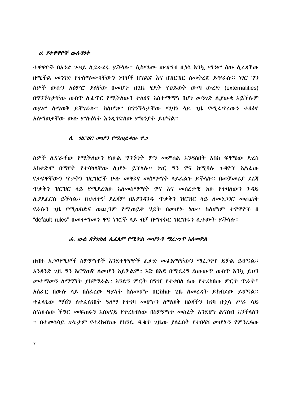#### ሀ. የተዋዋዮች ውሱንነት

ተዋዋዮች በአንድ ጉዳይ ሲደራደሩ ይችሳሉ። ሲስማሙ ውዝግብ ቢነሳ እንኳ ማንም ሰው ሲረዳቸው በሚችል መንገድ የተስማሙባቸውን ነዋቦች በግልጽ እና በዝርዝር ስመቅሪጽ ይዋራሉ። ነገር ግን ሰዎች ውሱን አዕምሮ ያስቸው በመሆኑ በ2ዜ ሂደት የህይወት ውጣ ውሪድ (externalities) በግንኙነታቸው ውስጥ ሲፌዋር የሚችለውን ተፅዕኖ አስተማማኝ በሆነ መንገድ ሲያውቁ አይችሱም ወይም ሰማወቅ ይቸገራሱ፡፡ ስለሆነም በግንኙነታቸው ሚዛን ላይ ጊዜ የሚፌኖረውን ተፅዕኖ አስማወቃቸው ውሱ ምሱስነት እንዲጎድስው ምክንያት ይሆናል።

#### $\Lambda$ .  $\eta$ C $\eta$ C odp3  $\rho$ on  $\rho$   $\rho$   $\rho$

ሰዎች ሲኖራቸው የሚችለውን የውል ግንኙነት ምን መምሰል እንዳለበት እስከ ፍፃሜው ድረስ አስቀድሞ በማየት የተሳካሳቸው ሲሆኑ ይችሳሉ፡፡ ነገር ግን ዋና ከሚባሉ ንዳዮች አልፌው የታዩዋቸውን ጥቃቅን ዝርዝሮች ሁሉ መፃፍና መስማማት ላይፌልን ይችላሉ። በመጀመሪያ ደረጃ <u> ዋቃቅን ዝርዝር ላይ የሚደረገው አለመስማማት ዋና እና መሰረታዊ ነው የተባለውን ጉዳይ</u> ሲያደሬርስ ይችላል፡፡ በሁለተኛ ደረጃም በእያንዳንዱ ጥቃቅን ዝርዝር ላይ ስመነ*ጋገ*ር መጨነቅ <u>የራሱን ጊዜ የሚወስድና ወጪንም የሚጠይቅ ሃደት በመሆኑ ነው። ስስሆነም ተዋዋዮች በ</u> "default\_rules" በመተማመን ዋና ነገሮች ላይ ብቻ በማተኮር ዝርዝሩን ሲተውት ይችላሉ።

#### ሐ. ውል በተክክል ሊፌጸም የሚችል መሆኑን ማረ*ጋገ*ጥ አለመቻል

በብዙ አ*ጋ*ጣሚ*ዎች* ስምምነቶች እንደተዋዋዮች ፌቃድ *መ*ፌጸማቸውን ማፈ*ጋገ*ጥ ይቻል ይሆናል፡፡ አንዳንድ ጊዜ ግን እርግጠኛ ስመሆን አይቻልም:: እጅ በእጅ በሚደረግ ልውውጥ ውስጥ እንኳ ይህን መተማመን ስማግኘት ያስቸግራል:: አንድን ምርት በግዢ የተቀበሰ ሰው የተረከበው ምርት ጥራት፣ አሰራር በውሱ ሳይ በሰፌረው ዓይነት ስሰመሆኑ በርክክቡ ጊዜ ስመረዳት ይከብደው ይሆናል፡፡ ተፌሳጊው ማሽን ስተፌስገበት ዓስማ የተገባ መሆኑን ስማወቅ በዕጃችን ከገባ በኋሳ ሥራ ሳይ ስናውሰው ችግር መፍጠሩን እስክናይ የተረከብነው በስምምነቱ መሰረት እንደሆነ ልናስብ እንችሳለን ፡፡ በተመሳሳይ ሁኔታም የተረከብነው የስንዴ ዱቂት ጊዜው ያስፌበት የተበሳሽ መሆኑን የምንፈዳው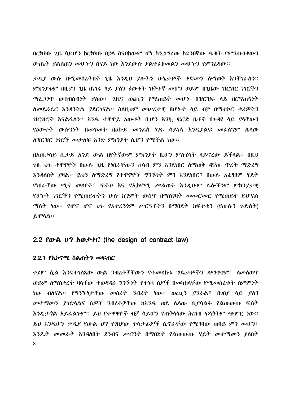በርክክቡ ጊዜ ሳይሆን ከርክክቡ በኃሳ ስናቦከውም ሆነ ስን*ጋግ*ረው ከደንበኛው <del>ዱ</del>ቂት የምንጠብቀውን ውጤት ያልሰጠን መሆኑን ስናይ ነው እንደውሱ ያልተፌፀመልን መሆኑን የምንረዳው፡፡

ታዲያ ውሱ በሚመሰረትበት ጊዜ እንዲህ ያሉትን ሁኔታዎች ቀድመን ስማወቅ እንቸገራስን፡፡ *ምክንያቱም* በዚ*ያን ጊ*ዜ በነገሩ ላይ *ያ*ለን ዕውቀት ዝቅተኛ መሆን ወይም በጊዜው ዝርዝር ነገሮችን *ጣሬ,ጋገ*ጥ ውስብስብነት ያለው፣ ጊዜና ወጪ*ን* የሚጠይቅ መሆኑ በዝርዝሩ ላይ በርግጠኝነት ስመደራደር እንዳንችል ያደርገናል፡፡ ስስዚህም መሠረታዊ በሆኑት ሳይ ብቻ በማተኮር ቀሪዎችን ዝርዝሮች እናልፋለን። አንዱ ተዋዋይ አውቆት ቢሆን እንኳ ፍርድ ቤቶች በንዳዩ ላይ ያላቸውን የዕውቀት ውሱንነት በመገመት በዕኩይ መንፌስ ነገሩ ሳይነሳ እንዲያልፍ መፌስግም ሴሳው ለዝርዝር ነገሮች መታለፍ አንድ ምክንያት ሲሆን የሚችል ነው፡፡

በአጠቃሳይ ሲታይ አንድ ውል በየትኛውም ምክንያት ቢሆን ምሉዕነት ሳይኖረው ይችሳል፡፡ በዚህ ጊዜ ህን ተዋዋዮች በውሱ ጊዜ የነበራቸውን ሀሳብ ምን እንደነበር ስማወቅ ዳኛው ጥረት ማድረግ እንዳለበት ያዛል፡፡ ይህን ለማድረግ የተዋዋዮች ግንኙነት ምን እንደነበር፣ በውሱ አፌፃፀም ሂደት የነበራቸው ሚና መሰየት፣ ፍትህ እና የኢኮኖሚ ሥልጠት እንዲሁም ሴሎችንም ምክንያታዊ <u>የሆኑት ነገሮችን የሚጠይቁትን ሁሉ ከግምት ውስጥ በማስገባት መመርመር የሚጠይቅ ይሆናል</u> ማለት ነው። የሆኖ ሆኖ ህን የአተረጓጎም ሥርዓቶችን በማበጀት ክፍተቱን (የውሱን ንድለት) ይምሳል።

# 

#### 2.2.1 የኢኮኖሚ ስልጠትን መፍጠር

ቀደም ሲል እንደተገለጸው ውል ንብረቶቻቸውን የተመለከቱ ግዴታዎችን ስማቋቋም፣ ስመስወጥ ወይም ስማስቀረት ባላቸው ተወዳዳሪ ግንኙነት የተነሳ ሰዎች በመካከላቸው የሚመሰረቱት ስምምነት ነው ብለናል። የግንኙነታቸው መሰረት ንብረት ነው። ወጪን ያንራል፣ በንበደ ላይ ያለን መተማመን ያንድሳልና ሰዎች ንብረቶቻቸው ከአንዱ ወደ ሴሳው ሲያሳልፉ የልውውጡ ፍሰት እንዲታንል አይፌልንም፡፡ ይህ የተዋዋዮች ብቻ ሳይሆን የጠቅሳሳው ሕዝብ ፍሳንትም ጭምር ነው፡፡ ይህ እንዲሆን ታዲያ የውል ህግ የገበያው ተሳታፊዎች ሲኖራቸው የሚገባው ጠባይ ምን መሆን፣ እንዴት መመራት እንዳስበት ደንብና ሥርዓት በማበጀት የልውውጡ ሂደት መተማመን ያስበት 8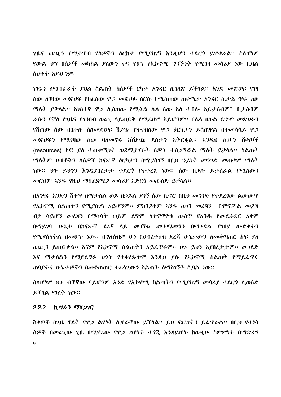ጊዜና ወጪን የሚቆጥብ የሰዎችን ዕርከታ የሚያስገኝ እንዲሆን ተደርጎ ይዋቀራል፡፡ ስለሆነም <u>የውል ህግ በሰዎች መካከል ያለውን ቀና የሆነ የኢኮኖሚ ግንኙነት የሚገዛ መሳሪያ ነው ቢባል</u> ስህተት አይሆንም።

ነገሩን ስማብራራት ያህል ስልጠት ከሰዎች ርካታ አንጻር ሲገለጽ ይችላል። አንድ መጽሀፍ የገዛ ሰው ስንዛው መጽሀፍ የከፌስው ዋ*ጋ መ*ጽሀፉ ስርሱ ከሚሰጠው ጠቀሜታ አንጻር ሲታይ ዋሩ ነው *ጣ*ስት ይቻሳል፡፡ አነስተኛ ዋ*ጋ* ሲሰጠው የሚችል ሴሳ ሰው አስ ተብሎ አይታሰብም፣ ቢታሰብም ራሱን የቻስ የጊዜና የገንዘብ ወጪ ሳይጠይቅ የሚፌፀም አይሆንም። በሴሳ በኩል ደግሞ መጽሀፉን <u>የሽጠው ሰው በበኩሱ ስስመጽሀፍ ሽደጭ የተቀበሰው ዋ*ጋ ዕ*ርካታን ይሰጠዋል በተመሳሳይ ዋ*ጋ*</u> መጽሀፍን የሚገዛው ሰው ባለመኖሩ ከሽያጩ ደስታን አትርፏል፡፡ እንዲህ ሲሆን ሽቀጦች (resources) ከፍ *ያ*ስ ተጠቃሚነት ወደሚ*ያገ*ኙት ሰዎች ተሽ*ጋግሯ*ል ማስት ይቻላል፡፡ ስልጠት *ማ*ስትም ሀብቶችን ስስዎች ከፍተኛ *ዕ*ርካታን በሚያስገኝ በዚህ ዓይነት መንገድ መጠቀም ማስት ነው፡፡ ህን ይህንን እንዲያበረታታ ተደርጎ የተቀረጸ ነው፡፡ ሰው በቃስ ይታሰራል የሚስውን መርህም አንዱ የዚህ ማስፌጸሚያ መሳሪያ አድርጎ መውሰድ ይቻሳል፡፡

በአንፃሩ አንድን ሽቀዋ በማታሰል ወይ በኃይል *ያገ*ኘ ሰው ቢኖር በዚህ *መንገ*ድ የተደረገው ልውውዋ የኢኮኖሚ ስልጠትን የሚያስገኝ አይሆንም፡፡ ምክንያቱም አንዱ ወገን መረጃን በሞኖፖል መያዝ ብቻ ሳይሆን መረጃን በማሳሳት ወይም ደግሞ ከተዋዋዮቹ ውስጥ የአንዱ የመደራደር አቅም በማይገባ ሁኔታ በከፍተኛ ደረጃ ላይ መገኘቱ መተማመንን በማጉደል የገበያ ውድቀትን የሚደስከትል በመሆኑ ነው። በግለሰብም ሆነ በህብረተሰብ ደረጃ ሁኔታውን ስመቆጣጠር ከፍ ደስ ወጪን ይጠይቃል። እናም የኢኮኖሚ ስልጠትን አይፌዋሩም። ሀን ይህን አያበረታታም። መገደድ እና ማታሰልን የማይደግፉ ህጎች የተቀረጹትም እንዲህ ያሉ የኢኮኖሚ ስልጠት የማይፌጥሩ ጠባደትና ሁኔታዎችን በመቆጠጠር ተፈሳጊውን ስልጠት ለማስገኘት ሲባል ነው።

ስለሆነም ህን ብቸኛው ባይሆንም አንድ የኢኮኖሚ ስልጠትን የሚያስገኝ መሳሪያ ተደርጎ ሲወሰድ ይቻላል *ማ*ለት ነው።

## 2.2.2 ኪሣራን ማሽጋገር

ሽቀጦች በጊዜ ሂደት የዋ*ጋ* ልዩነት ሲኖራቸው ይችሳል። ይህ ፍርሀትን ይፌዋራል። በዚህ የተነሳ ሰዎች በመጪው ጊዜ በሚኖረው የዋ*ጋ* ልዩነት ተጎጂ እንዳይሆኑ ከወዲሁ ስምምነት በማድረግ 9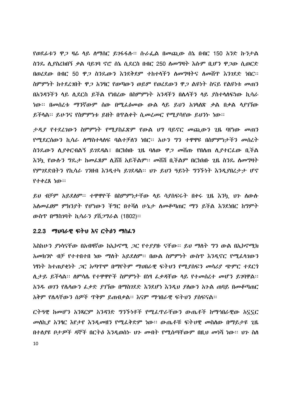*የወደፊቱን ዋጋ* ዛሬ ሳይ ስማሰር ይገፋፋሱ። ሱራፌል በመጪው ሰኔ በብር 150 *አን*ድ ኩንታል ስንዴ ሊያስረክበኝ ቃል ባይገባ ኖሮ ሰኔ ሲደርስ በብር 250 ለመግዛት እሱም ቢሆን ዋ*ጋ*ው ሲወርድ በወረደው በብር 50 ዋ*ጋ* ስንጴውን እንደቅደም ተከተላችን ለመግዛትና ለመሽጥ እንገደድ ነበር። ስምምነት ከተደረገበት ዋ*ጋ* አንፃር የወጣውን ወይም የወረደውን ዋ*ጋ* ልዩነት ስናይ የልዩነቱ *መ*ጠን በአንዳንችን ላይ ሲደርስ ይችል የነበረው በስምምነት አንዳችን በሴሳችን ላይ ያስተሳሰፍነው ኪሳራ ነው። በመሰረቱ ማንኛውም ሰው በሚፌፅመው ውል ላይ ይህን አንሳለጽ ቃል በቃል ላያገኘው ይችሳል። ይሁንና የስምምነቱ ይዘት በዋልቀት ሲመረመር የሚያሳየው ይህንኑ ነው።

*ታዲያ የተደረገ*ውን ስምምነት የሚያስፌጽም የውል ህግ ባይኖር መጪውን ጊዜ ባየነው መጠን የሚደርሰውን ኪሳራ ስማስተሳሰፍ ባልተቻሰን ነበር፡፡ አሁን ግን ተዋዋዩ በስምምነታችን መሰረት ስንጴውን ሲያቀርብልኝ ይገደዳል፤ በርክክቡ ጊዜ ባለው ዋ*ጋ መ*ሽጡ የበሰጠ ሲያተርፌው ቢችል እንኳ የውሱን ግጼታ ከመሬጸም ሲሸሽ አይችልም። መሸሽ ቢችልም በርክክቡ ጊዜ ስንጼ ለመግዛት የምንደድበትን የኪሳራ ንንዘብ እንዲተካ ይንደዳል፡፡ ህጉ ይህን ዓይነት ግንኙነት እንዲያበረታታ ሆኖ የተቀረጸ ነው።

ይህ ብቻም አይደሰም፡፡ ተዋዋዮች በስምምነታቸው ሳይ ሳያሰፍሩት በቀሩ ጊዜ እንኳ ሀን ሰውሱ አሰመፌፀም ምክንያት የሆነውን ችግር በተሻሰ ሁኔታ ሰመቆጣጠር ማን ይችል እንደነበር ከግምት ውስጥ በማስገባት ኪሳራን ያሽ*ጋግ*ራል (1802)፡፡

# 2.2.3 ማህባራዊ ፍትህ እና ርትዕን ማስፈን

እስከሁን ያነሳናቸው በአብዛኛው ከኢኮኖሚ *ጋ*ር የተያያዙ ናቸው። ይህ ማስት ግን ውል በኢኮኖሚክ አመክንዮ ብቻ የተተበተበ ነው ማስት አይደስም፡፡ በውል ስምምነት ውስጥ እንዲኖር የሚፈሳገውን ነፃነት ከተጠያቂነት *ጋ*ር አጣጥሞ በማየትም ማህበራዊ ፍትህን የሚያስፍን መሳሪያ ጭምር ተደርጎ ለ.ታይ ይችሳል። ስምሳሌ የተዋዋዮች ስምምነት በነፃ ፌቃዳቸው ሳይ የተመሰረተ መሆን ይገባዋል። አንዱ ወንን የሴሳውን ፌቃድ ደንኘው በማስገደድ እንደሆነ እንዲህ ደስውን አንል ጠባይ በመቆጣጠር አቅም የሌላቸውን ሰዎች ዋቅም ይጠብቃል። እናም ማኅበራዊ ፍትህን ያሰፍናል።

ርትዓዊ ከመሆን አንጻርም አንዳንድ ግንኙነቶች የሚፌዋራቸውን ውጤቶች ከማኅበራዊው አናናር መስኪያ አንፃር እየታየ እንዲመዘን የሚፌቅድም ነው። ውጤቶቹ ፍትሀዊ መስለው በማይታዩ ጊዜ በተሰያዩ ቦታዎች ዳኞች በርትዕ እንዲወሰኑ ህን መብት የሚሰጣቸውም በዚህ መነሻ ነው። ህን ስስ 10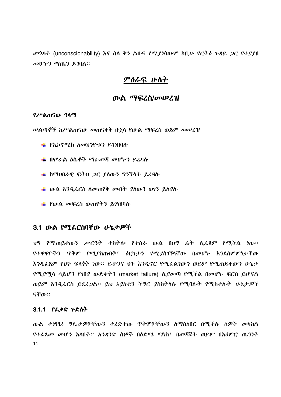መጎዳት (unconscionability) እና ስለ ቅን ልቡና የሚያነሳውም ከዚሁ የርትዕ ጉዳይ ጋር የተያያዘ መሆኑን ማጤን ይገባል።

# ምዕራፍ ሁስት

# ውል ማፍረስ/መሠረዝ

#### የሥልጠናው ዓላማ

*ሠ*ልጣኞች ከሥልጠናው መጠናቀቅ በ<u>ኂ</u>ሳ የውል ማፍረስ ወይም መሠረዝ

- ₩ የኢኮኖሚክ አመክንዮቱን ይገነዘባሉ
- ₩ በሞራል ዕሴቶች ማራመጃ መሆኑን ይረዳሱ
- ₩ ከማህበራዊ ፍትህ *ጋ*ር ያስውን ግንኙነት ይረዳሉ
- ₩ ውል እንዲፌርስ ስመጠየቅ መብት ያስውን ወገን ይስያስ
- ₩ የውል መፍረስ ውጠየትን ይገነዘባሉ

# 3.1 ውል የሚፌርስባቸው ሁኔታዎች

ህግ የሚጠይቀውን ሥርዓት ተከትሎ የተሰራ ውል በህግ ፊት ሲፌጸም የሚችል ነው። የተዋዋዮችን ጥቅም የሚያስጠብቅ፣ ዕርካታን የሚያስገኝሳቸው በመሆኑ እንደስምምነታቸው እንዲፌጸም የህጉ ፍላጎት ነው። ይሁንና ህጉ እንዲኖር የሚፌልገውን ወይም የሚጠይቀውን ሁኔታ የሚያማሳ ሳይሆን የገበያ ውድቀትን (market failure) ሲያመጣ የሚችል በመሆኑ ፍርስ ይሆናል ወይም እንዲፈርስ ይደረጋል፡፡ ይህ አይነቱን ችግር ያስከትላሉ የሚባሉት የሚከተሉት ሁኔታዎች ናቸው።

# 3.1.1 የፌቃድ ንድስት

ውል ተነፃፃሪ ግጼታዎቻቸውን ተረድተው ዋቅሞቻቸውን ስማስከበር በሚችሉ ሰዎች መካከል የተፈጸመ መሆን አስበት፡፡ አንዳንድ ሰዎች በዕድሜ ማነስ፣ በመጀጀት ወይም በአዕምሮ ጤንነት 11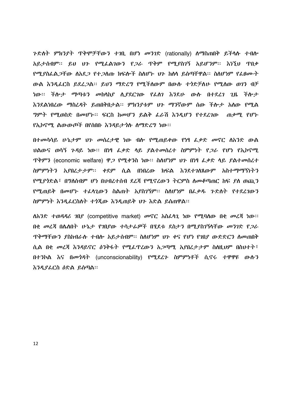ጉድለት ምክንያት ጥቅሞቻቸውን ተገቢ በሆነ መንገድ (rationally) ስማስጠበቅ ይችሳሉ ተብሎ አይታሰብም፡፡ ይህ ህን የሚፌልገውን የ*ጋ*ራ ጥቅም የሚያስገኝ አይሆንም፡፡ እነኚህ ጥበቃ የሚያስፌል*ጋ*ቸው ስአደ*ጋ* የተ*ጋ*ሰጡ ክፍሎች ስስሆኑ ህጉ ከስላ ይሰጣቸዋል። ስስሆነም የፌፀሙት ውል እንዲፌርስ ይደፈጋል። ይህን ማድረግ የሚችለውም በውሱ ተጎድቻለሁ የሚለው ወገን ብቻ ነው። ችሎታ ማጣቱን መከሳከያ ሲያደርገው የፌስገ እንደሁ ውሱ በተደረገ ጊዜ ችሎታ እንደልነበረው ማስረዳት ይጠበቅበታል፡፡ ምክንያቱም <del>ህን ማንኛውም ሰው ችሎታ አለው የ</del>ሚል *ግ*ምት የሚወስድ በመሆኑ። ፍርስ ከመሆን ይልቅ ፌራሽ እንዲሆን የተደረገው መቃሚ የሆኑ የኢኮኖሚ ልውውጦች በየሰበቡ እንዳይታ*ጎ*ሱ ሰማድረግ ነው።

በተመሳሳይ ሁኔታም ህን መሰረታዊ ነው ብሎ የሚጠይቀው የነፃ ፌቃድ መኖር ሰአንድ ውል ህልውና ወሳኝ ጉዳይ ነው። በነፃ ፌቃድ ላይ ያልተመሰረተ ስምምነት የ*ጋ*ራ የሆነ የኢኮኖሚ ጥቅምን (economic welfare) ዋ*ጋ* የሚቀንስ ነው። ስለሆነም ህጉ በነፃ ፌቃድ ሳይ ያልተመሰረተ ስምምነትን አያበረታታም፡፡ ቀደም ሲል በነበረው ክፍል እንደተገለጸውም አስተማማኝነትን የሚያሳድል፣ በግለሰብም ሆነ በህብረተሰብ ደረጃ የሚኖረውን ትርምስ ለመቆጣጠር ከፍ ያለ ወጪን የሚጠይቅ በመሆኑ ተፈሳጊውን ስልጠት አያስገኝም፡፡ ስስሆነም በፌቃዱ ጉድስት የተደረገውን ስምምነት እንዲፌርስለት ተጎጂው እንዲጠይቅ ሀን እድል ይሰጠዋል።

ለአንድ ተወዳዳሪ ገበያ (competitive market) መኖር አስፌሳጊ ነው የሚባሰው በቂ መረጃ ነው። በቂ መሬጃ በሴስበት ሁኔታ የገበያው ተሳታፊዎች በሂደቱ ደስታን በሚያስገኝሳቸው መንገድ የ*ጋ*ራ <u> ዋቅማቸውን ያስከብራሉ ተብሎ አይታሰብም። ስለሆነም ህን ቀና የሆነ የገበደ ውድድርን ስመጠበቅ</u> ሲል በቂ መረጃ እንዳይኖር ዕንቅፋት የሚፌዋረውን አጋጣሚ አያበረታታም ስለዚህም በስህተት፣ በተንኮል እና በመጎዳት (unconscionability) የሚደረጉ ስምምነቶች ሲኖሩ ተዋዋዩ ውሱን እንዲያፈርስ ዕድል ይሰጣል።

12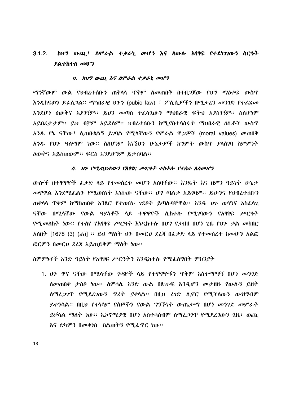#### ከህግ ውጪ፣ ስሞራል ተቃራኒ መሆን እና ስውሱ አፃፃፍ የተደነገገውን ስርዓት  $3.1.2.$ ያልተከተሰ መሆን

#### ሀ. ከሀግ ውጪ እና ለሞራል ተቃራኒ መሆን

ማንኛውም ውል የህብረተሰቡን ጠቅሳሳ ጥቅም ስመጠበቅ በተዘጋጀው የህግ ማዕቀፍ ውስጥ እንዲከናወን ይፌስ*ጋ*ል። ማኅበራዊ ህጉን (pubic law) ፣ ፖሊሲ*ዎችን* በሚቃረን መንገድ የተፌጸመ እንደሆነ ዕውቅና አያገኝም፡፡ ይህን መጣስ ተፈሳጊውን ማህበራዊ ፍትህ አያስገኝም፡፡ ስስሆነም አይበረታታም፡፡ ይህ ብቻም አይደለም፡፡ ህብረተሰቡን ከሚያስተሳስሩት ማህበራዊ ዕሴቶች ውስጥ አንዱ የኔ ናቸው፤ ሊጠበቁልኝ ይገባል የሚላቸውን የሞራል ዋ*ጋዎች* (moral values) መጠበቅ አንዱ የህን ዓለማም ነው። ስለሆነም እነኚህን ሁኔታዎች ከማምት ውስጥ ያላስገባ ስምምነት ዕውቅና አይሰጠውም። ፍርስ እንደሆንም ይታሰባል።

#### ለ. ህን የሚጠይቀውን የአፃፃር ሥርዓት ተከትሎ የተሰራ አለመሆን

ውሎች በተዋዋዮች ፌቃድ ሳይ የተመሰረቱ መሆን አሰባቸው። እንዴት እና በምን ዓይነት ሁኔታ መዋዋል እንደሚፌልን የሚወስነት እነሱው ናቸው። ህግ ጣልቃ አይገባም። ይሁንና የህብረተሰቡን ጠቅሳሳ ጥቅም ከማስጠበቅ አንጻር የተወሰኑ ንደቦች ይጣሱባቸዋል፡፡ አንዱ ህን ወሳኝና አስፌሳጊ ናቸው በሚሳቸው የውል ዓይነቶች ላይ ተዋዋዮች ሲከተሱ የሚገባውን የአፃፃፍ ሥርዓት *የሚመ*ለከት ነው። የተለየ የአፃፃፍ ሥርዓት እነዲከተሉ በሀግ የታዘዘ በሆነ ጊዜ የህን ቃል መከበር <u>አለበት [1678 (3) (ሐ)] ፡፡ ይህ ማስት ህን በመርህ ደረጃ በፌቃድ ሳይ የተመሰረተ ከመሆን አልፎ</u> ፎርምን በመርህ ደረጃ አይጠይቅም ማስት ነው።

ስምምነቶች አንድ ዓይነት የአፃፃፍ ሥርዓትን እንዲከተሉ የሚፌስግበት ምክንያት

1. ሀን ዋና ናቸው በሚሳቸው ንዳዮች ሳይ የተዋዋዮቹን ዋቅም አስተማማኝ በሆነ መንገድ ለመጠበቅ ታስቦ ነው። ለምሳሌ አንድ ውል በጽሁፍ እንዲሆን መታዘዙ የውሱን ይዘት ሰማሬ*ጋገ*ዋ የሚደረገውን ዋረት ያቀሳል። በዚህ ረገድ ሲኖር የሚችስውን ውዝግብም ይቀንሳል። በዚህ የተነሳም የሰዎችን የውል ግንኙነት ውጤታማ በሆነ መንገድ መምራት ይቻላል *ማ*ለት ነው። ኢኮኖሚያዊ በሆነ አስተሳሰብም ለማሪ*ጋገ*ጥ የሚደረገውን ጊዜ፣ ወጨ እና ድካምን በመቀነስ ስልጠትን የሚፈጥር ነው።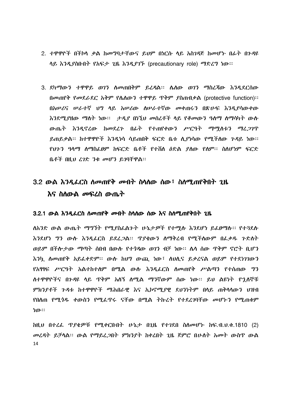- 2. ተዋዋዮች በችኮሳ ቃል ከመግባታቸውና ይህም በነርሱ ሳይ አስገዳጅ ከመሆኑ በፊት በንዳዩ ሳይ እንዲያስቡበት የአፍታ ጊዜ እንዲያገኙ (precautionary role) ማድረግ ነው፡፡
- 3. ደካማውን ተዋዋይ ወገን ስመጠበቅም ይረዳል፡፡ ሴስው ወገን ማስረጃው እንዲደርስው በመጠየቅ የመደራደር አቅም የሴስውን ተዋዋይ ጥቅም ያስጠብቃል (protective function):: በአሠሪና ሠራተኛ ህግ ሳይ አሠሪው ለሠራተኛው መቀጠሩን በጽሁፍ እንዲያሳውቀው እንደሚያዘው ማስት ነው። ታዲያ በነኚህ መሰረቶች ሳይ የቆመውን ዓስማ ስማሳካት ውስ ውጤት እንዲኖረው ከመደረጉ በፊት የተጠየቀውን ሥርዓት ማማስቱን ማረጋገጥ ይጠይቃል። ከተዋዋዮች እንዲነሳ ሳይጠበቅ ፍርድ ቤቱ ሲያነሳው የሚችለው ንዳይ ነው። የህንን ዓላማ ስማስፌፀም ከፍርድ ቤቶች የተሸለ ዕድል ደለው የለም። ስለሆነም ፍርድ ቤቶች በዚህ ረገድ 3ቂ መሆን ይገባቸዋል።

# 3.2 ውል እንዲፌርስ ስመጠየቅ መብት ስሳስው ሰው፣ ስስሚጠየቅበት ጊዜ እና ስ**ስውል** *መ***ፍረስ ው**ጤት

#### 3.2.1 ውል እንዲፌርስ ስመጠየቅ መብት ስሳስው ሰው እና ስስሚጠየቅበት ጊዜ

ለአንድ ውል ውጤት ማግኘት የሚያስፌልጉት ሁኔታዎች የተሚሱ እንደሆነ ይፌፀማሉ፡፡ የተጓደሱ እንደሆነ ግን ውሱ እንዲፌርስ ይደፈጋል። ጥያቄውን ስማቅረብ የሚችሰውም በፌቃዱ ጉድስት ወይም በችሎታው ማጣት ሰበብ በውሱ የተንዳው ወገን ብቻ ነው። ሴሳ ሰው ጥቅም ኖሮት ቢሆን እንኳ ስመጠየቅ አይፌቀድም። ውሱ ከሀግ ውጪ ነው፣ ስህሲና ይቃረናል ወይም የተደነገገውን የአፃፃፍ ሥርዓት አልተከተለም በሚል ውሱ እንዲፌርስ ለመጠየቅ ሥልጣን የተሰጠው ግን ለተዋዋዮችና በንዳዩ ሳይ ጥቅም አለኝ ለሚል ማንኛውም ሰው ነው። ይህ ልዩነት የኋለኞቹ ምክንደቶች ጉዳቱ ከተዋዋዮች ማሕበራዊ እና ኢኮኖሚደዊ ደህንነትም በላይ ጠቅሳሳውን ህዝብ የበሰጠ የሚታዱ ቀውስን የሚፌዋሩ ናቸው በሚል ትኩረት የተደረገባቸው መሆኑን የሚጠቁም ነው።

ከዚህ በተረፌ ዋያቄዎቹ የሚቀርቡበት ሁኔታ በጊዜ የተገደበ ስለመሆኑ ከፍ.ብ.ህ.ቁ.1810 (2) መረዳት ይቻሳል፡፡ ውል የማይፈጋበት ምክንያት ከቀረበት ጊዜ ጀምሮ በሁስት አመት ውስዋ ውል 14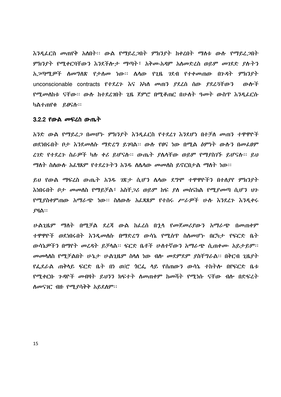እንዲፌርስ መጠየቅ አለበት፡፡ ውል የማይፈጋበት ምክንያት ከቀረበት ማስቱ ውሱ የማይፈጋበት ምክንያት የሚቀርባቸውን እንደችሎታ ማጣት፣ አቅሙ-አዳም አሰመድረስ ወይም መገደድ ያሱትን unconscionable contracts P+227 AS Ahn መጠን ያደረሰ ሰው ያደረጓቸውን ውሎች *የሚመ*ለከቱ ናቸው። ውሱ ከተደረገበት ጊዜ ጀምሮ በሚቆጠር በሁስት ዓመት ውስጥ እንዲፌርሱ ካልተጠየቁ ይፀናሉ።

#### 3.2.2 የውል መፍረስ ውጤት

አንድ ውል የማይረ*ጋ* በመሆኑ ምክንያት እንዲፌርስ የተደረገ እንደሆነ በተቻለ መጠን ተዋዋዮች ወደነበሩበት ቦታ እንደመሰሱ ማድረግ ይገባል፡፡ ውሱ የፀና ነው በሚል ዕምነት ውሱን በመፌፀም ረገድ የተደረጉ ስራዎች ካሉ ቀሪ ይሆናሉ። ውጤት ያሴሳቸው ወይም የማያስገኙ ይሆናሉ። ይህ *ማ*ስት ስስውሱ አፌፃጸም የተደረጉትን አንዱ ስሴሳው *መ*መስስ ይኖርበታል ማስት ነው።

ይህ የውል ማፍረስ ውጤት አንዱ ገጽታ ሲሆን ሴሳው ደግሞ ተዋዋዮችን በተሰያየ ምክንያት እነበሩበት ቦታ መመሰስ የማይቻል፤ አስቸ*ጋ*ሪ ወይም ከፍ ያለ መሰናከል የሚያመጣ ሲሆን ህን የሚያስቀምጠው አማራጭ ነው። ስለውሱ አፌጻጸም የተሰሩ ሥራዎች ሁሉ እንደረጉ እንዲቀሩ  $PHA$ ::

ሁልጊዜም ማስት በሚቻል ደረጃ ውል ከፌረስ በኂሳ የመጀመሪያውን አማራጭ በመጠቀም ተዋዋዮች ወደነበሩበት እንዳመስሱ በማድረግ ውሳኔ የሚሰዋ ስለመሆኑ በርካታ የፍርድ ቤት ውሳኔዎችን በማየት መረዳት ይቻሳል። ፍርድ ቤቶች ሁስተኛውን አማራጭ ሲጠቀሙ አይታይም። መመሳሰስ የሚቻልበት ሁኔታ ሁልጊዜም ስሳስ ነው ብሎ መደምደም ያስቸግራል። በቅርብ ጊዜያት የፌደራል ጠቅሳይ ፍርድ ቤት በነ ወ/ሮ *ጎ*ርፌ ሳይ የሰጠውን ውሳኔ ተከትሎ በየፍርድ ቤቱ የሚቀርቡ ጉዳዮች መብዛት ይህንን ክፍተት ስመጠቀም ከመሻት የሚነሱ ናቸው ብሎ በድፍረት ሰመናገር ብዙ የሚያሳቅቅ አይደስም፡፡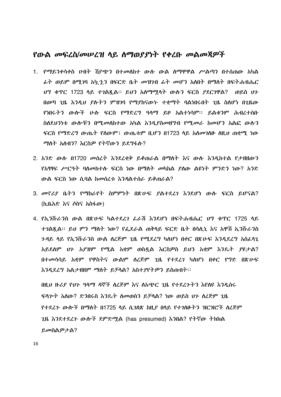# የውል መፍረስ/መሠረዝ ሳይ ስማወያያነት የቀረቡ መልመጃዎች

- 1. የማይንቀሳቀስ ሀብት ሽደጭን በተመሰከተ ውስ ውል ስማዋዋል ሥልጣን በተሰጠው አካል *ፌት ወይም በሚገ*ባ አካ*ኂን* በፍርድ ቤ*ት መዝገ*ብ *ፊት መሆን* አለበት በማስት በፍትሐብሔር ሀግ ቁጥር 1723 ሳይ ተገልጿል። ይህን አሰማሚሳት ውሱን ፍርስ ያደርገዋል? ወይስ ህን በወጣ ጊዜ እንዲህ ያሉትን ምዝገባ የማያከናውኑ ተቋማት ባልነበሩበት ጊዜ ስስሆነ በጊዜው የነበሩትን ውሎች ሁሉ ፍርስ የማድረግ ዓላማ ይዞ አልተነሳም፡፡ ይልቁንም ሕብረተሰቡ ስለደህንነቱ ውሎቹን በሚመለከተው አካል አንዳያስመዘግብ የሚመራ ከመሆን አልፎ ውሱን ፍርስ የማድረግ ውጤት የስውም፤ ውጤቱም ቢሆን በ1723 ላይ አስመገለፁ ስዚህ ጠቋሚ ነው ማለት አለብ3? እርስዎ የትኛው3 ይደግፋሉ?
- 2. አንድ ውሱ በ1720 መስረት እንደረቂቅ ይቆጠራል በማስት እና ውሱ እንዳክተል የታዘዘውን *የአዓዓፍ ሥርዓት ባለመከተሉ ፍርስ ነ*ው በማለት *መ*ካከል ያለው ልዩነት ምንድን ነው? አንድ ውል ፍርስ ነው ሲባል ከመሰረቱ እንዳልተሰራ ይቆጠራል?
- 3. መኖሪያ ቤትን የማከራየት ስምምነት በጽሁፍ ያልተደረገ እንደሆነ ውሱ ፍርስ ይሆናል? (ኪቤአድ እና ሶስና አስፋው)
- 4. የኢንሹራንስ ውል በጽሁፍ ካልተደረገ ፌራሽ እንደሆነ በፍትሐብሔር ህግ ቁጥር 1725 ሳይ ተገልጿል። ይህ ምን ማስት ነው? የፌደራል ጠቅሳይ ፍርድ ቤት በሳሊኒ እና አዋሽ ኢንሹራንስ ንዳይ ሳይ የኢንሹራንስ ውል ሰረጅም ጊዜ የሚደረግ ካስሆነ በቀር በጽሁፍ እንዲደረግ አስፈሳጊ አይደሰም ሀን አያዝም የሚል አቋም ወስዷል እርስዎስ ይህን አቋም እንዴት ያዩታል? በተመሳሳይ አቋም የዋስትና ውልም ለረጅም ጊዜ የተደረገ ካለሆነ በቀር የግድ በጽሁፍ እንዲደረግ አልታዘዘም ማስት ይቻሳል? አስተያየትዎን ይስጡበት፡፡

በዚህ ዙሪያ የህን ዓሳማ ዳኞች ስረጅም እና ስአጭር ጊዜ የተደረጉትን እየሰዩ እንዲሰሩ ፍሳምት አሰው? ድንበሩስ እንዴት ስመወሰን ይቻሳል? ነው ወይስ ህን ስረጅም ጊዜ <u>የተደረጉ ውሎች በማስት በ1725 ላይ ሲጋስጽ ከዚደ በላይ የተጋስፁትን ዝርዝሮች ስረጅም</u> ጊዜ እንደተደረጉ ውሎች ደምድሚል (has presumed) እንበል? የትኛው ትክክል ይመስልዎታል?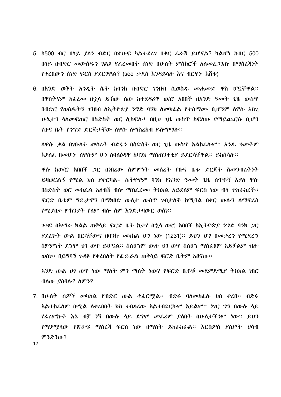- 5. ከ500 ብር በላይ ያለን ብድር በጽሁፍ ካልተደረን በቀር ፌራሽ ይሆናል? ካልሆነ ከብር 500 በላይ በብድር *መ*ውሰዱን *ገ*ልጾ የፌረመበት ሰነድ በሁለት ምስክሮች አለመረ*ጋገ*ጡ በማስረጃነት የቀረበውን ስነድ ፍርስ *ያ*ደር*ገ*ዋል? (see ታደሰ እንዳይሳሱ እና ብርሃ*ኑ* እሸቱ)
- 6. በአንድ ወቅት አንዲት ሴት ከባንክ በብድር ገንዘብ ሲወስዱ መሐመድ ዋስ ሆኗቸዋል፡፡ በዋስትናም ከፌረ*መ* በ<u>ኂ</u>ላ ይኸው ሰው ከተደ*ዳሪ*ዋ ወ/ሮ አበበች በአንድ ዓመት ጊዜ ውስጥ በብድር የወሰዱትን 7ንዘብ ስኢትዮጵ*ያ ንግ*ድ ባንክ ስመክፌል የተስማሙ ቢሆንም ስዋሱ አስጊ ሁኔታን ሳስመፍጠር በስድስት ወር ሲከፍሱ፣ በዚህ ጊዜ ውስዋ ከፍሰው የማይጨርሱ ቢሆን የቡና ቤት የንግድ ድርጅታቸው ስዋሱ ስማስረከብ ይስማማሉ፡፡

ሰዋሱ ቃል በ*ገ*ቡሰት መሰረት ብድሩን በስድስት ወር ጊዜ ውስጥ አልከፌሱም፡፡ አንዱ ዓመትም እያለፌ በመሆኑ ስዋሱም ሆነ ስባለዕዳዋ ከባንክ ማስጠንቀቂያ ይደርሳቸዋል። ይከስሳሉ።

ዋሱ ከወ/ሮ አበበች *ጋ*ር በነበረው ስምምነት መሰረት የቡና ቤቱ ድርጅት ስመንብረትነት ይዛወርልኝ የሚል ክስ ያቀርባል። ሴትዮዋም ባንክ የአንድ ዓመት ጊዜ ሰጥቶኝ እያለ ዋሱ በስድስት ወር መክፌል አሰብሽ ብሎ ማስፌፈሙ ትክክል አይደስም ፍርስ ነው ብሳ ተከራከረች፡፡ ፍርድ ቤቱም ግዴታዋን በማክበድ ውስታ ውስጥ ንብታስች ከሚባል በቀር ውሱን ስማፍረስ የሚያበቃ ምክንያት የስም ብሎ ስም እንድታዛውር ወሰነ፡፡

*ጉዳ*ዩ በአማራ ክልል ጠቅሳይ ፍርድ ቤት ከታየ በኂሳ ወ/ሮ አበበች ከኢትዮጵ*ያ ንግ*ድ ባንክ *ጋ*ር ያደረጉት ውል በርሳቸውና በባንኩ መካከል ህግ ነው (1231)፡፡ ይህን ህግ በመቃረን የሚደረግ ስምምነት ደግሞ ህገ ወዋ ይሆናል። ስለሆነም ውሱ ህገ ወዋ ስለሆነ ማስፌፀም አይቻልም ብሎ ወሰነ። በይግባኘ ንዳዩ የቀረበለት የፌዴራል ጠቅላይ ፍርድ ቤትም አፀናው።

አንድ ውል ህገ ወጥ ነው ማስት ምን ማስት ነው? የፍርድ ቤቶቹ መደምደሚያ ትክክል ነበር ብለው ያስባሉ? ስምን?

7. በሁለት ሰዎች መካከል የብድር ውል ተፌርሚል፡፡ ብድሩ ባሰመከፌሱ ክስ ቀረበ፡፡ ብድሩ አልተከራሰም በሚል ሰቀረበበት ክስ ተበዳሪው አልተበደርኩም አይልም፡፡ ነገር ግን በውሱ ሳይ የፌረምኩት እኔ ብቻ ነኝ በውሱ ሳይ ደግሞ መፌረም ያስበት በሁለታችንም ነው፡፡ ይህን *የማያሚ*ነው የጽሁፍ ማስረጃ ፍርስ ነው በማስት ይከራከራል። እርስ*ዎ*ስ *ያለዎት ሀ*ሳብ ምንድንው?

17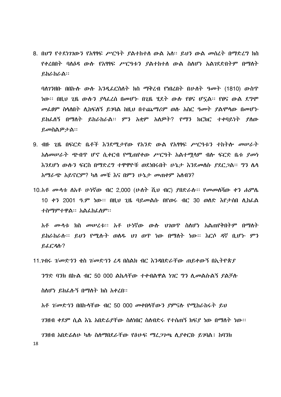8. በህግ የተደነገገውን የአፃፃፍ ሥርዓት ያልተከተሰ ውል አሰ፡፡ ይህን ውል መሰረት በማድረግ ክስ <u>የቀረበበት ባለዕዳ ውሉ የአፃፃፍ ሥርዓቱን ያልተከተለ ውል ስለሆነ አልንደድበትም በማለት</u> ይከራከራል፡፡

ባስንንዘቡ በበኩሱ ውሱ እንዲፌርስስተ ክስ ማቅረብ የነበረበተ በሁስተ ዓመተ (1810) ውስጥ ነው። በዚህ ጊዜ ውሱን ያሳፌረስ በመሆኑ በጊዜ ሂደት ውሱ የፀና ሆኗል። የፀና ውል ደግሞ መፌፀም ስሳሰበት ሲከፍሰኝ ይገባል ከዚህ በተጨማሪም ወሱ አስር ዓመት ያልሞሳው በመሆኑ ይክፌለኝ በማለት ይከራከራል፡፡ ምን አቋም አለዎት? የማን ክርክር ተቀባይነት ያለው ይመስልዎታል።

- 9. ብዙ ጊዜ በፍርድ ቤቶች እንደሚታየው የአንድ ውል የአፃፃፍ ሥርዓቱን ተከትሎ መሠራት *አስመሠራት ጭ*ብዋ ሆኖ ሲቀርብ የሚጠየቀው ሥርዓት አልተሟሳም ብሎ ፍርድ ቤቱ *ያመ*ነ እንደሆነ ውሱን ፍርስ በማድረግ ተዋዋዮቹ ወደነበሩበት ሁኔታ እንደመሰሱ *ያ*ደር*ጋ*ል። ግን ሴሳ አማራጭ አይኖርም? ካስ መቼ እና በምን ሁኔታ መጠቀም አስብን?
- 10. አቶ ሙሳቱ ሰአቶ ሁነኛው ብር 2,000 (ሁሰት ሺህ ብር) ያበድራሱ። የመመሰሻው ቀን ሐምሴ 10 ቀን 2001 ዓ.ም ነው። በዚህ ጊዜ ባይመልሱ በየወሩ ብር 30 ወስድ እየታሰበ ሲከፌል ተስማምተዋል። አልፈክፈለም።

አቶ ሙሳቱ ክስ መሠረቱ። አቶ ሁነኛው ውሱ ህገወጥ ስለሆነ አልጠየቅበትም በማለት ይከራከራሱ፡፡ ይህን የሚሉት ወሰዱ ህገ ወዋ ነው በማስት ነው፡፡ እርሶ ዳኛ ቢሆኑ ምን  $P_{\alpha}$  $C_{\beta}$  $\Lambda$  $2$ 

 $11.20$ ሩ  $1/\sigma$ ድጎን ቁስ  $1/\sigma$ ድኅን ሪዳ በስልክ ብር እንዳበድራቸው ጠይቀውኝ በኢትዮጵያ ንግድ ባንክ በኩል ብር 50 000 ልኬሳቸው ተቀብልዋል ነገር ግን ሲመልሱልኝ ያልቻሉ ስለሆነ ይክፌሉኝ በማለት ክስ አቀረበ፡፡ አቶ ገ/መድኅን በበኩሳቸው ብር 50 000 መቀበሳቸውን ያምናሉ የሚከራከሩት ይህ *ገን*ዘብ ቀደም ሲል እኔ አበድ*ሬ*ያቸው ስለነበር ስለብድሩ የተሰጠኝ ክፍያ ነው በማለት ነው። *ገን*ዘብ አበድራስሁ ካሉ ስለማበደራቸው የፅሁፍ ማረ*ጋገጫ* ሲደቀርቡ ይገባል፤ ከባንክ 18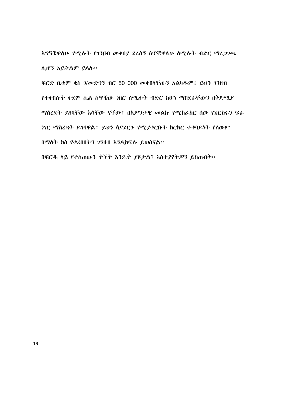አግኝቼዋስሁ የሚሱት የገንዘብ መቀበያ ደረሰኝ ሰጥቼዋስሁ ስሚሱት ብድር ማፈ*ጋገ*ጫ ሲሆን አይችልም ይላሱ።

ፍርድ ቤቱም ቄስ ገ/መድኅን ብር 50 000 መቀበሳቸውን አልካዱም፤ ይህን ገንዘብ የተቀበሱት ቀደም ሲል ሰዋቼው ነበር ስሚሱት ብድር ከሆነ ማበደራቸውን በቅድሚያ ማስረደት ያሰባቸው እሳቸው ናቸው፤ በአዎንታዊ መልኩ የሚከራከር ሰው የክርክሩን ፍሬ ነገር ማስረዳት ይገባዋል፡፡ ይህን ሳያደርጉ የሚያቀርቡት ክርክር ተቀባይነት የሰውም በማለት ክስ የቀረበበትን ገንዘብ እንዲከፍሉ ይወስናል።

በፍርዱ ሳይ የተሰጠውን ትችት እንዴት ያዩታል? አስተያየትዎን ይስጡበት፡፡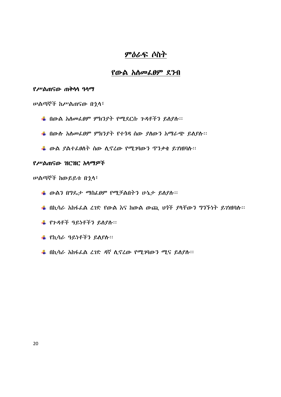# ምዕራፍ ሶስት

# የውል አለመፌፀም ደንብ

#### የሥልጠናው ጠቅሳሳ ዓሳማ

ሠልጣኞች ከሥልጠናው በኂሳ፣

- ₩ በውል አሰመራፀም ምክንያት የሚደርሱ ጉዳቶችን ይለያሱ፡፡
- ₩ በውሱ አስመፌፀም ምክንያት የተጎዳ ሰው ያስውን አማራጭ ይስያሱ፡፡
- ₩ ውል ያልተፌፀስት ሰው ሲኖሬው የሚገባውን ዋንቃቄ ይገነዘባሉ፡፡

# የሥልጠናው ዝርዝር አሳማዎች

ሠልጣኞች ከውይይቱ በኂላ፣

- ♣ ውልን በግጼታ ማስፌፀም የሚቻልበትን ሁኔታ ይለያሱ።
- $\frac{1}{2}$  በኪሳራ አከፋፌል ረገድ የውል እና ከውል ውጪ ህጎች ያሳቸውን ግንኙነት ይገነዘባሉ፡፡
- ₩ የንዳቶች ዓይነቶችን ይስያስ፡፡
- ₩ የኪሳራ ዓይነቶችን ይለያሉ።
- $\frac{1}{2}$  በኪሳራ አከፋፌል ፈገድ ዳኛ ሊኖረው የሚገባውን ሚና ይለያሉ፡፡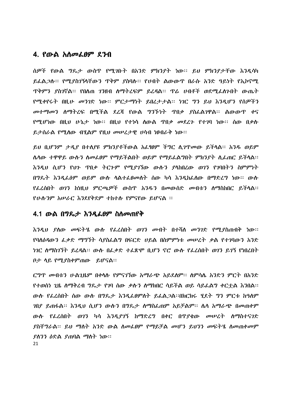# 4. የውል አስመፌፀም ደንብ

ሰዎች የውል ግዴታ ውስጥ የሚገቡት በአንድ ምክንያት ነው። ይህ ምክንያታቸው እንዲሳካ ይፌል*ጋ*ሱ፡፡ *የሚደስገኝ*ላቸውን ዋቅም ደስባሉ፡፡ የሀብት ልውውጥ በራሱ አንድ ዓይነት የኢኮኖሚ <u> ዋቅምን ያስገኛል፡፡ የበለጠ ገንዘብ ስማትረፍም ይረዳል፡፡ ዋሬ ሀብቶች ወደሚፌስንበት ውጤት</u> የሚቀየሩት በዚሁ መንገድ ነው። ምርታማነት ይበረታታል። ነገር ግን ይህ እንዲሆን የሰዎችን መተማመን ሰማትረፍ በሚችል ደረጃ የውል ግንኙነት ጥበቃ ያስፌልገዋል፡፡ ልውውጥ ቀና የሚሆነው በዚህ ሁኔታ ነው። በዚህ የተነሳ ስውል ዋበቃ መደረጉ የተገባ ነው። ሰው በቃሉ ይታሰራል የሚሰው ብሃልም የዚህ መሠረታዊ ሀሳብ ነፀብራቅ ነው።

ይህ ቢሆንም ታዲያ በተለያዩ ምክንያቶችውል አፌፃፀም ችግር ሲገዋመው ይችላል። አንዱ ወይም ሴሳው ተዋዋይ ውሱን ስመፌፀም የማይችልበት ወይም የማይፌልግበት ምክንያት ሲፌጠር ይችሳል፡፡ እንዲህ ሲሆን የህን ጥበቃ ትርጉም የሚያገኘው ውሱን ያሳከበረው ወገን የገባበትን ስምምነት በግዴት እንዲራዕም ወይም ውሱ ሳልተራፀመሰት ሰው ካሳ እንዲከራሰው በማድረግ ነው፡፡ ውሱ የፌረሰበት ወገን ከነዚህ ምርጫዎች ውስጥ አንዱን በመውሰድ መብቱን ስማስከበር ይችሳል፡፡ የሁሱንም አሠራር እንደየቅደም ተከተሱ የምናየው ይሆናል ፡፡

# 4.1 ውል በግጼታ እንዲፌፀም ስስመጠየቅ

እንዲህ ያስው መፍትሄ ውሱ የፌረስበት ወገን መብት በተሻሰ መንገድ የሚያስጠብቅ ነው፡፡ የባለዕዳውን ፌቃድ ማግኘት ሳያስፌልግ በፍርድ ሀይል በስምምነቱ መሠረት ቃል የተገባውን አንድ ነገር ስማስገኘት ይረዳል፡፡ ውስ በፌቃድ ተፌጽሞ ቢሆን ኖሮ ውስ የፌረስበት ወገን ይገኝ የነበረበት በታ ሳይ የሚያስቀምጠው ይሆናል፡፡

ርግጥ መብቱን ሁልጊዜም በቀሳሱ የምናገኘው አማራጭ አይደሰም። ስምሳሌ አንድን ምርት በአንድ የተወሰነ ጊዜ ስማቅረብ ግዴታ የገባ ሰው ቃሉን ስማክበር ሳይችል ወይ ሳይፌልግ ቀርተል እንበል፡፡ ውሱ የፌረስበት ሰው ውሱ በግዴታ እንዲፌፀምስት ይፌል*ጋ*ል።በክርክሩ ሂደት *ግን ም*ርቱ ከዓለም *ገ*በያ ይጠፋል። እንዲህ ሲሆን ውሱን በግዴታ ስማስፌጠም አይቻልም። ሴሳ አማራጭ በመጠቀም ውሉ የፌረስበት ወንን ካሳ እንዳያንኝ ከማድረግ በቀር በጥያቂው መሠረት ስማስተናገድ ያስቸግራል። ይህ ማስት አንድ ውል ስመፌፀም የማይቻል መሆን ይህንን መፍትሄ ስመጠቀመም *ያስንን ዕ*ድል *ያ*ጠባል ማስት ነው። 21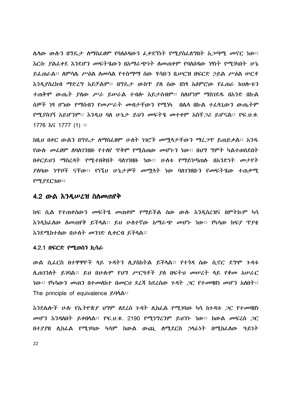ሴሳው ውሱን በግጼታ ስማስፌፀም የባስዕዳውን ፌቃደኝነት የሚያስፌስግበት አጋጣሚ መኖር ነው፡፡ <u>እርሱ ያልፈቀደ እንደሆን መፍትሄውን በአማራጭነት ስመጠቀም የባስዕዳው ነፃነት የሚነካበት ሁኔ</u> ይፌጠራል። ስምሳሌ ሥዕል ስመሳል የተስማማ ስው ሃሳቡን ቢሥርዝ በፍርድ ኃይል ሥዕል ሥርቶ እንዲያስረክብ ማድረግ አይቻልም፡፡ በግዴታ ውስጥ ያለ ሰው በነፃ አዕምሮው የፌጠራ ክህሎቱን ተጠቅሞ ውጤት ያስው ሥራ ይሠራል ተብሎ አይታሰብም፡፡ ስስሆነም ማስንደዱ በአንድ በኩል ሰዎች ነፃ ሆነው የማሰብን የመሥራት መብታቸውን የሚነካ በሴሳ በኩል ተፈሳጊውን ውጤትም የሚያስገኝ አይሆንም። እንዲህ ባለ ሁኔታ ይህን መፍትሄ መተቀም አስቸ*ጋ*ሪ ይሆናል። የፍ.ህ.ቁ.  $1776$   $\&$   $\&$   $1777$  (1) ::

ከዚህ በቀር ውልን በግዴታ ስማስፌፀም ሁለት ነገሮች መሟሳታቸውን ማፈጋዋ ይጠይቃል፡፡ አንዱ *የ*ውሱ መፌፀም ሰባስ7ንዘቡ የተሰየ ጥቅም የሚሰጠው መሆኑን ነው። በህግ ግምት ካልተወሰደበት በቀርይህን ማስረዳት የሚተበቅበት ባለገንዘቡ ነው፡፡ ሁለቱ የማይነጣጠሉ በአንድነት መታየት *ያ*ስባው ነጥቦች ናቸው፡፡ የነኚህ ሁኔ*ታዎ*ች መሟላት ነው ባስገንዘቡን የመፍትሄው ተጠቃሚ የሚያደርገው።

### 4.2 ውል እንዲሠረዝ ስስመጠየቅ

ከፍ ሲል የተጠቀሰውን መፍትሄ መጠቀም የማይችል ሰው ውሱ እንዲሰረዝና በምትኩም ካሳ እንዲከፌሰው ሰመጠየቅ ይችሳል፡፡ ይህ ሁስተኛው አማራጭ መሆኑ ነው፡፡ የካሳው ክፍያ ጥያቄ እንደሚከተሰው በሁስት መንገድ ሲቀርብ ይችሳል፡፡

#### 4.2.1 በፍርድ የሚወሰን ኪሳራ

ውል ሲፌርስ በተዋዋዮች ሳይ *ጉዳ*ትን ሲያስከትል ይችሳል፡፡ የተ*ጎዳ* ሰው ሲኖር ደ*ግ*ሞ *ጉዳ*ቱ ሲጠንንስት ይገባል። ይህ በሁስም የህግ ሥርዓቶች ያስ በፍትህ መሠረት ሳይ የቆመ አሠራር *ነ*ው። የካሳው*ን መ*ጠን በተመለከተ በመርህ ደረጃ ከደረሰው *ጉዳት ጋ*ር የተመዛዘነ መሆን አለበት። The principle of equivalence  $\mathcal{L}(\mathcal{U})$ 

እንደሌሎች ሁሉ የኢትዮጵ*ያ ህግ*ም ለደረሰ *ጉዳት ሲከ*ፌል የሚ*ገ*ባው ካሳ ከጉዳቱ *ጋ*ር የተመዛዘነ *መሆን እንዳ*ለበት ይቀበሳል። የፍ.ህ.ቁ. 2190 የሚ*ነግረን*ም ይህንት ነው። ከውል *መ*ፍረስ *ጋ*ር በተያያዘ ሲከራል የሚገባው ካሳም ከውል ውጪ ሰሚደርስ ኃላፊነት በሚከራሰው ዓይነት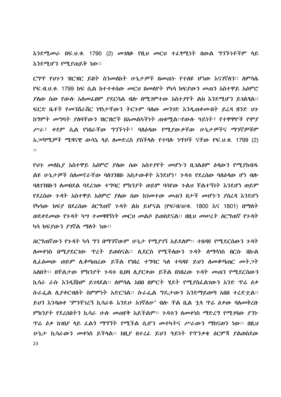$\delta$ ንደሚመራ በፍ.ህ.ቁ. 1790 (2) መገለው የዚህ መርህ ተፌየሚነት በውል ግንኙነቶችም ሳይ እንደሚሆን የሚያጠይቅ ነው።

ርግጥ የህጉን ዝርዝር ይዘት ስንመለከት ሁኔታዎች በመጠኑ የተለዩ ሆነው እናገኛስን። ስምሳሌ <u>የፍ.ብ.ሀ.ቁ. 1799 ከፍ ሲል ከተተቀሰው መርህ በመለየት የካሳ ክፍያውን መጠን አስተዋይ አዕምሮ</u> ያስው ሰው የውሱ አስመፌፀም ያደርሳል ብሎ በሚገምተው አስተያየት ልክ እንደሚሆን ይገልፃል፡፡ ፍርድ ቤቶች የመንሽራሽር ነፃነታቸውን ትርጉም ባለው መንገድ እንዲጠቀሙበት ይረዳ ዘንድ ህጉ ከግምት መግባት ያስባቸውን ዝርዝሮች በአመልካችነት ጠቁሟል፡፡የውሱ ዓይነት፣ የተዋዋዮች የሞያ ሥራ፣ ቀደም ሲል የነበራቸው ግንኙነት፣ ባስዕዳው የሚያውቃቸው ሁኔታዎችና ማንኛዎቹም አ*ጋ*ጣሚ*ዎች ሚ*ዛናዊ ውሳኔ ሳይ ስመድረስ ያስችሳሱ የተባሱ ነጥቦች ናቸው የፍ.ህ.ቁ. 1799 (2)  $\mathbf{::}$ 

የህን መሰኪያ አስተዋይ አዕምሮ ያሰው ሰው አስተያየት መሆኑን ቢገልፅም ዕዳውን የሚያከብዱ ልዩ ሁኔታዎች ስስመኖራቸው ባስገንዘቡ አስታውቆት እንደሆነ፣ ጉዳቱ የደረሰው ባስዕዳው ሆነ ብሎ ባስገንዘቡን ስመበደል ባደረገው ተግባር ምክንያት ወይም ባሳየው ጉልህ ቸልተኝነት እንደሆነ ወይም የደረሰው ጉዳት አስተዋይ አዕምሮ ያሰው ሰው ከገመተው መጠን በታች መሆኑን ያስረዳ እንደሆነ የካሳው ክፍያ በደረሰው ዕርግጠኛ ጉዳት ልክ ይሆናል (የፍ/ብ/ሀ/ቁ. 1800 እና 1801) በማስት ወደቀደመው የንዳት ካሣ ተመዛዛኝነት መርህ መልሶ ይወስደናል፡፡ በዚህ መሠረት ዕርግጠኛ የንዳት ካሳ ክፍያውን ያገኛል ማስት ነው።

ዕርግጠኛውን የንዳት ካሳ ግን በማንኛውም ሁኔታ የሚደገኝ አይደስም፡፡ ተበዳዩ የሚደርሰውን ንዳት ለመቀነስ በሚያደርገው ዋረት ይወሰናል። ሊደርስ የሚችለውን ንዳት ለማሳነስ በርሱ በኩል ለፌፅመው ወይም ሲቆጣጠረው ይችል የነበረ ተግባር ካስ ተባዳዩ ይህን ስመቆጣጠር መት ጋት አለበት፡፡ በቸልታው ምክንያት ጉዳቱ ቢበዛ ሊደርቀው ይችል በነበረው ጉዳት መጠን የሚደርሰውን ኪሳራ ራሱ እንዳሸከም ይገዳደል። ለምሳሌ አበበ በምርት ሃደት የሚያስፈልገውን አንድ ዋሬ ሰቃ ሱራፌል ሊያቀርብስት ስምምነት አድርጓል። ሱራፌል ግዴታውን እንደማይወጣ አበበ ተረድተል። ይህን እንዳወቀ "ምንቸገረኝ ከሳራዬ እንደሁ አንኛስሁ" ብሎ ቸል ቢል ኃላ ዋሬ ዕቃው ባለመቅረቡ ምክንያት የደረሰበትን ኪሳራ ሁሉ መጠየቅ አይችልም፡፡ ጉዳቱን ስመቀነስ ማድረግ የሚገባው ያንኑ *ዋሬ ዕቃ ከገቢያ ላይ ሌልት ማግኘት የሚች*ል ሲሆን መተካትና ሥራውን ማከናወን ነው። በዚህ ሁኔታ ኪሳራውን መቀነስ ይችላል። ከዚያ በተረፌ ይህን ዓይነት የጥንቃቄ ዕርምጃ ያልወሰደው 23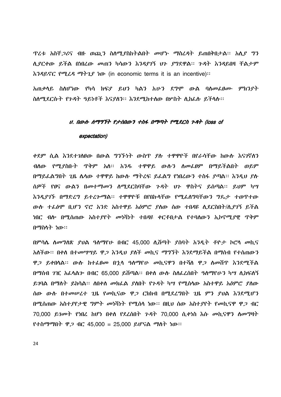*ፕሬቱ አስቸጋሪ*ና ብዙ ወጪ*ን* ስለሚያስከትልበት መሆኑ ማስረዳት ይጠበቅበታል፡፡ አሊያ ግን ሲያርቀው ይችል በነበረው መጠን ካሳውን እንዳያገኝ ህን ያግደዋል፡፡ ንዳት እንዳይበዛ ቸልታም  $\lambda$  *i* 14.0 and  $\lambda$  14.1 and  $\lambda$  in expression that the sequence is a incentive):

አጠቃሳይ ስስሆነው የካሳ ክፍያ ይህን ካልን አሁን ደግሞ ውል ባሰመፌፀሙ ምክንያተ ስለሚደርሱት የንዳት ዓይነቶች እናያለን። እንደሚከተለው በሦስት ሊከፌሱ ይችላሉ።

## U. በውሱ ሰማግኘት የታሰበውን ተስፋ በማጣት የሚደርስ ጉዳት (loss of

#### expectation)

ቀደም ሲል እንደተገለፀው በውል ግንኙነት ውስጥ ያሉ ተዋዋዮች በየራሳቸው ከውሱ እናገኛለን ብለው የሚያስቡት ጥቅም አለ፡፡ አንዱ ተዋዋይ ውሉን ለመሬፀም በማይችልበት ወይም በማይፌልግበት ጊዜ ሴሳው ተዋዋይ ከውሱ ማትረፍ ይፌልግ የነበረውን ተስፋ ደጣል። እንዲህ ደሱ ሰዎች የፀና ውልን በመተማመን ስሚደርስባቸው ንዳት ህን ዋስትና ይሰጣል። ይህም ካሣ እንዳደገኙ በማድረግ ይተረሎማል፡፡ ተዋዋዮቹ በየበኩላቸው የሚፈለግባቸውን ግዴታ ተወጥተው ውሱ ተራፅሞ ቢሆን ኖሮ አንድ አስተዋይ አዕምሮ ያለው ሰው ተበዳዩ ሲደርስበት/ሲያገኝ ይችል <u>ነበር ብሎ በሚሰጠው አስተያየት መነሻነት ተበዳዩ ቀርቶበታል የተባለውን ኢኮኖሚያዊ ጥቅም</u> በማስላት ነው።

በምሳሴ ስመግለጽ ያህል ዓስማየሁ በብር 45,000 ሲሸጣት ያሰባት አንዲት ቶዮታ ኮሮሳ መኪና አለችው። በቀለ በተመሣሣይ ዋ*ጋ እንዲህ ያ*ለች *መ*ኪና ማግኘት እንደማይችል በማሰብ የተሰጠውን ዋ*ጋ* ይቀበሳል። ውሱ ከተፌፀመ በ<u>ኂሳ ዓለማ</u>የሁ መኪናዋን በተሻሰ ዋ*ጋ* ለመሸጥ እንደሚችል በማሰብ ፖዢ አፌሳልም በብር 65,000 ይሸጣል፡፡ በቀስ ውሱ ስለፌረሰበት ዓስማየሁን ካሣ ሲከፍለኝ ይንባል በማስት ይከሳል። ስበቀስ መክፌል ያስበት የንዳት ካሣ የሚሰሳው አስተዋይ አዕምሮ ያስው ሰው ውሱ በተመሠረተ ጊዜ የመኪናው ዋ*ጋ* ርክክብ በሚደረግበት ጊዜ ምን ያህል እንደሚሆን በሚሰጠው አስተያየታዊ ግምት መነሻነት የሚሰላ ነው፡፡ በዚህ ሰው አስተያየት የመኪናዋ ዋ*ጋ* ብር 70,000 ይገመት የነበረ ከሆነ በቀሰ የደረሰበት ጉዳት 70,000 ሲቀነስ እሱ መኪናዋን ሰመግዛት የተስማማበት ዋ*ጋ* ብር 45,000 = 25,000 ይሆናል ማስት ነው።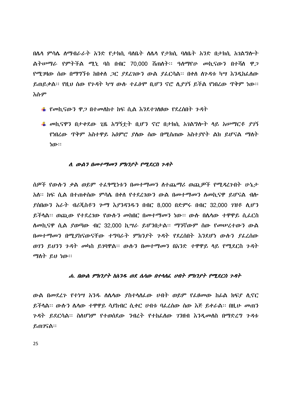በሴሳ ምሳሴ ስማብራራት አንድ የታክሲ ባለቤት ለሴሳ የታክሲ ባለቤት አንድ በታክሲ አገልግሎት ልትሥማራ የምትችል ሚኒ ባስ በብር 70.000 ሽጠሰት፡፡ ዓለማየሁ መኪናውን በተሻለ ዋ*ጋ* የሚገዛው ሰው በማግኘቱ ከበቀሰ ጋር ያደረገውን ውል ያፌርሳል፡፡ በቀሰ ስንዳቱ ካሣ እንዲከፌሰው ይጠይቃል፡፡ የዚህ ሰው የንዳት ካሣ ውሱ ተፌፅሞ ቢሆን ኖሮ ሲያገኝ ይችል የነበረው ጥቅም ነው፡፡ እሱም

- $\pm$  የመኪናውን ዋ*ጋ* በተመለከተ ከፍ ሲል እንደተገለፀው የደረሰበት ጉዳት
- $\frac{1}{2}$  መኪናዋን በታቀደው ጊዜ አግኝቷት ቢሆን ኖሮ በታክሲ አገልግሎት ላይ አሠማርቶ ያገኝ የነበረው ጥቅም አስተዋይ አዕምሮ ያለው ሰው በሚሰጠው አስተያየት ልክ ይሆናል ማለት ነው።

#### ለ. ውልን በመተማመን ምክንያት የሚደርስ ጉዳት

ሰዎች የውሱን ቃል ወይም ተፈፃሚነቱን በመተማመን ስተጨማሪ ወጪዎች የሚዳረንበት ሁኔታ አስ። ከፍ ሲል በተጠቀሰው ምሳሴ በቀስ የተደረገውን ውል በመተማመን ስመኪናዋ ይሆናል ብስ<sub>"</sub> \_ያስበውን አራት ብሪጂስቶን ሥማ እያንዳንዱን በብር 8.000 በድምሩ በብር 32.000 *ገ*ዝቶ ሊሆን ይችሳል። ወጪው የተደረገው የውሱን መከበር በመተማመን ነው። ውስ በሴሳው ተዋዋይ ሲፌርስ ለመኪናዋ ሲል ያወጣው ብር 32.000 ኪሣራ ይሆንበታል፡፡ ማንኛውም ሰው የመሠረተውን ውል በመተማመን በሚያከናውናቸው ተግባራት ምክንያት ጉዳት የደረሰበት እንደሆነ ውሱን ያፌረሰው ወገን ይህንን ጉዳት መካስ ይገባዋል፡፡ ውሱን በመተማመን በአንድ ተዋዋይ ላይ የሚደርስ ጉዳት ማስት ይህ ነው።

## ሐ. በውል ምክንያት ከአንዱ ወደ ሴሳው በተሳሰራ ሀብት ምክንያት የሚደርስ ጉዳት

ውል በመደረጉ የተነሣ አንዱ ስሴሳው ያስተሳሰፌው ሀብት ወይም የፌፀመው ከፊል ክፍያ ሲኖር ይችሳል። ውሱን ሴሳው ተዋዋይ ሳያከብር ሲቀር ሀብቱ ባፌረሰው ሰው እጅ ይቀራል። በዚሁ መጠን *ጉዳት ይ*ደርሳል። ስለሆነም የተወሰደው *ን*ብረት የተከፌሰው *ገን*ዘብ እንዲመስስ በማድረግ ጉዳቱ ይጠገናል።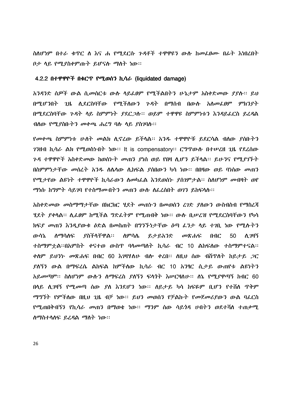ስስሆነም በተራ ቁጥር ስ እና ሐ የሚደርሱ ጉዳቶች ተዋዋዩን ውስ ከመፌፀሙ በፊት እነበረበት ቦታ ሳይ የሚያስቀምጡት ይሆናሉ ማስት ነው።

#### 4.2.2 በተዋዋዮች በቁርጥ የሚወሰን ኪሳራ (liquidated damage)

አንዳንድ ሰዎች ውል ሲመሰርቱ ውሱ ሳይፌፀም የሚችልበትን ሁኔታም አስቀድመው ያያሱ፡፡ ይህ በሚሆንበት ጊዜ ሲደርስባቸው የሚችለውን ንዳት በማሰብ በውሱ አለመፌፀም ምክንያት በሚደርስባቸው ጉዳት ላይ ስምምነት ያደር*ጋ*ሱ፡፡ ወይም ተዋዋዩ ስምምነቱን እንዳይፌርስ ይፈዳል ብስው የሚያስቡትን መቀጫ ሐረግ ባሱ ሳይ ያስገባሉ፡፡

የመቀጫ ስምምነቱ ሁስት መልክ ሲኖረው ይችላል። አንዱ ተዋዋዮቹ ይደርሳል ብለው ያስቡትን *ገን*ዘብ ኪሳራ ል*ክ* የሚወስኮበት ነው፡፡ It is compensatory፡፡ ርግጥውሱ በተሠረዘ ጊዜ የደረሰው ንዳ ተዋዋዮች አስቀድመው ከወሰኑት መጠን ያነሰ ወይ የበዛ ሲሆን ይችሳል። ይሁንና የሚያገኙት በስምምነታቸው መሰረት አንዱ ለሴላው ሲከፍል ያሰበውን ካሳ ነው። በበዛው ወይ ባነሰው መጠን የሚታየው ልዩነት ተዋዋዮች ኪሳራውን ስመካፌል እንደወሰኑ ያስንምታል፡፡ ስስሆነም መብዛት ወየ *ማነ*ሱ ከማምት ሳይ*ገ*ባ የተስማሙበትን መጠን ውሱ ስፌረስበት ወገን ይከፍላሉ።

አስቀድመው መስማማታቸው በክርክር ሃደት መጠኑን በመወሰን ረገድ ያስውን ውስብስብ የማስረጃ ሃደት ያቀላል፡፡ ለፊፀም ከሚችል ግድፊትም የሚጠብቅ ነው፡፡ ውሱ ቢሠረዝ የሚደርስባቸውን የካሳ ክፍያ መጠን እንዲያውቁ ዕድል በመስጠት በግንኙነታቸው ዕጣ ፈንታ ላይ ተገቢ ነው የሚሱትን የስችላቸዋል። ለምሳሌ ጡሳኔ *ስማ*ሳለፍ ይታይአንድ መጽሐፍ  $0<sup>0</sup>C$ 50 ለ ንዛኝ ተስማምተል፡፡በአምስት ቀናተወ ውስዋ ባሳመጣስት ኪሳራ ብር 10 ልከፍሰው ተስማምተናል፡፡ ቀስም ይህንት መጽሐፍ በብር 60 እንዛሃስሁ ብሎ ቀረበ። ስዚህ ሰው ብሽጥስት ከይታይ *ጋ*ር ያለኝን ውል በማፍረሴ ልክፍል ከምችለው ኪሳራ ብር 10 አንፃር ሲታይ ውጠየቱ ልዩነትን አይመጣም፡፡ ስለሆነም ውሱን ሰማፍረስ ያለኝን ፍላጎት እሥርዛለሁ፡፡ ለኔ የሚያዋጣኝ ከብር 60 በላይ ሲ*ገ*ዛኝ የሚ*መ*ጣ ሰው *ያ*ለ እንደሆን ነው። ለይታይ ካሳ ከፍዬም ቢሆን የተሸለ ጥቅም *ማግኘት የምች*ለው በዚህ 2ዜ ብቻ ነው። ይህን መወሰን የቻልኩት የመጀመሪያውን ውል ባፌርስ የሚጠበቅብኝን የኪሳራ መጠን በማወቄ ነው፡፡ ማንም ሰው ሳይጎዳ ሀብትን ወደተሻሰ ተጠቃሚ ሰማስተሳሰፍ ይረዳል ማስት ነው።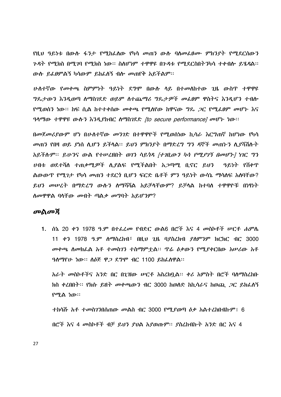<u>የዚህ ዓይነቱ በውሱ ፋንታ የሚከፌሰው የካሳ መጠን ውሱ ባሰመፌፀሙ ምክንደት የሚደርሰውን</u> *ጉዳት የሚክ*ስ በሚ*ገ*ባ የሚክስ ነው። ስለሆነም ተዋዋዩ በንዳቱ የሚደርስበትንካሳ ተቀብሎ ይሄዳል። ውሱ ይፌፀምልኝ ካሳውም ይከፌስኝ ብሎ መጠየቅ አይችልም፡፡

ሁለተኛው የመቀጫ ስምምነት ዓይነት ደግሞ በውሱ ላይ በተመለከተው ጊዜ ውስጥ ተዋዋዩ *ግ*ዴታውን እንዲወጣ ስማስገደድ ወይም ስተጨማሪ ግዴታዎች መ*ል*ፀም ዋስትና እንዲሆን ተብሎ የሚወሰን ነው። ከፍ ሲል ከተተቀሰው መቀጫ የሚሰየው ከዋናው ግዴ *ጋ*ር የሚፌፀም መሆኑ እና ዓላማው ተዋዋዩ ውስን እንዲያከብር ስማስገደድ *[to secure performance] መ*ሆኑ ነው።

በመጀመሪያውም ሆነ በሁለተኛው መንገድ በተዋዋዮች የሚወሰነው ኪሳራ እርግጠኛ ከሆነው የካሳ መጠን የበዛ ወይ ያነሰ ሲሆን ይችሳል፡፡ ይህን ምክንያት በማድረግ ግን ዳኞች መጠኑን ሲያሻሽሉት አይችሉም። ይሁንና ውል የተሠረዘበት ወገን ሳይጎዳ *[ተገቢውን ካሳ የሚያገኝ በመሆኑ]* ነገር *ግን* <u>ሀብቱ ወደተሻለ ተጠቃሚዎች ሊደልፍ የሚችልበት አ*ጋ*ጣሚ ቢኖር ይህን - ዓይነት የሸቀጥ</u> ልውውጥ የሚገታ የካሳ መጠን ተደርጎ ቢሆን ፍርድ ቤቶች ምን ዓይነት ውሳኔ ማሳለፍ አለባቸው? ይህን መሠረት በማድረግ ውሱን ስማሻሻል አይቻላቸውም? ይቻላል ከተባሰ ተዋዋዮቹ በነፃነት ሰመዋዋል ባላቸው መብት ጣልቃ መግባት አይሆንም?

## መልመሻ

1. ሰኔ 20 ቀን 1978 ዓ.ም በተፈረ*መ* የብድር ውል6 በሮች እና 4 መስኮቶች ሥርቶ ሐምሌ 11 ቀን 1978 ዓ.ም ስማስረከብ፣ በዚህ ጊዜ ባያስረክብ ያስምንም ክርክር ብር 3000 መቀጫ ሰመክፌል አቶ ተመስገን ተስማምቷል። ዋሬ ዕቃውን የሚያቀርበው አሠሪው አቶ ዓስማየሁ ነው። ስ $\delta$ ጅ ዋጋ ደግሞ ብር 1100 ይከፌስዋል።

አራት መስኮቶችና አንድ በር በጊዝው ሥርቶ አስረክቧል፡፡ ቀሪ አምስት በሮች ባለማስረከቡ ክስ ቀረበበት፡፡ የክሱ ይዘት መቀጫውን ብር 3000 ከወሰድ ከኪሳራና ከወጪ *ጋ*ር ይክፌለኝ የሚል ነው።

<u>ተክሳሹ አቶ ተመስገንበሰጠው መልስ ብር 3000 የሚደወጣ ዕቃ አልተረከበብኩም፤ 6</u> በሮች እና 4 መስኮቶች ብቻ ይህን ያህል አያወጡም፡፡ ያስረከብኩት አንድ በር እና 4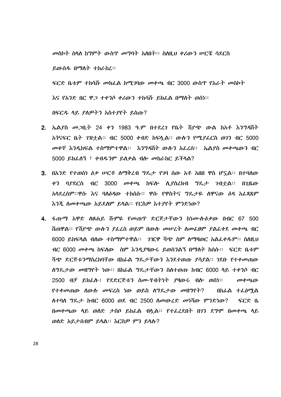መስኮት ስላለ ከግምት ውስጥ መግባት አለበት፡፡ ስለዚህ ቀሪውን ሥርቼ ሳደርስ ይውሰዱ በማስት ተከራከረ። ፍርድ ቤቱም ተከሳሹ መክፌል ከሚገባው መቀጫ ብር 3000 ውስጥ የአራት መስኮት እና የአንድ በር ዋ*ጋ* ተቀንሶ ቀሪውን ተከሳሹ ይክፌል በማስት ወሰነ።

በፍርዱ ሳይ ያለዎትን አስተያየት ይስጡ?

- 2. ኤልያስ መ*ጋ*ቢት 24 ቀን 1983 ዓ.ም በተደረገ የቤት ሽያጭ ውል ከአቶ እንግዳሽት አ*ጎ*ናፍር ቤት *ገ*ዝቷል። ብር 5000 ቀብድ ከፍሏል። ውሱን የሚያፌርስ ወገን ብር 5000 *መ*ቀቸ እንዲከፍል ተስማምተዋል። እንግዳሽት ውሱን አፌረስ። ኤል*ያ*ስ መቀጫውን ብር 5000 ይክፌስኝ ፣ ቀብዱንም ይሰቃል ብሎ መከራከር ይችላል?
- 3. በአንድ የተወሰነ ዕቃ ሥርቶ ስማቅረብ ግዴታ የገባ ሰው አቶ አበበ ዋስ ሆናል። በተባለው 3000 መቀጫ ከፍሎ ሲያስረክብ ግዴታ ገብተል፡፡ በጊዜው ቀን ባያደርስ ብር አሳደረሰም፡፡ዋሱ እና ባሰዕዳው ተከሰሱ፡፡ ዋሱ የዋስትና ግዴታዬ ስዋናው ዕዳ አፌጻጸም እንጂ ስመቀጫው አይደስም ይሳል። የርስዎ እተያየት ምንድነው?
- 4. ፋጡማ አዋድ ስፀሐይ ሹምዬ የመጠዋ ድርጅታቸውን ከነሙስዕቃው በብር 67 500 ሽጠዋል። የሽደጭ ውሱን ደፌረስ ወይም በውሱ መሠረት ስመፌፀም ደልፌቀደ መቀጫ ብር 6000 ይክፍላል ብለው ተስማምተዋል። . ንዢዋ ሻጭ ስም ስማዛወር አልፌቀዱም። ስለዚህ ብር 6000 መቀጫ ከፍለው ሰም እንዲያዛውሩ ይወሰንልኝ በማለት ክሰሱ፡፡ ፍርድ ቤቱም ሻጭ ድርጅቱንማስረከባቸው በከፊል ግዴታቸውን እንደተወጡ ያሳያል፡፡ ገደቡ የተቀመጠው ለግዴታው መዘግየት ነው። በከፊል ግዴታቸውን ስለተወጡ ከብር 6000 ላይ ተቀንሶ ብር 2500 ብቻ ይክፈሉ፤ የደድርጅቱን ስሙ-ሃብትነት ያዛውሩ ብሎ ወስነ። *መቀጫው* የተቀመጠው ስውስ መፍረስ ነው ወይስ ስግዴታው መዘግየት? በከራል ተፌፅማል ለተባለ ግጼታ ከብር 6000 ወደ ብር 2500 ለመውረድ መነሻው ምንድነው? ፍርድ ቤ በመቀጫው ሳይ ወሰድ ታስቦ ይከፌል ብሏል። የተፌረደበት በ7ን ደግሞ በመቀጫ ሳይ ወሰድ አይታሰብም ይሳል። እርስዎ ምን ይሳሱ?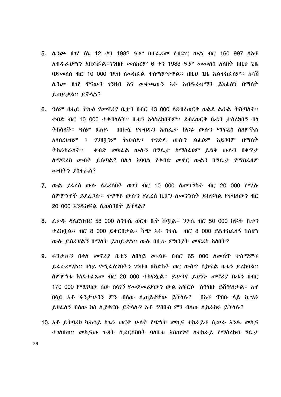- 5. ሴንጮ ዘንየ ሰኔ 12 ቀን 1982 ዓ.ም በተ*ፌ*ረ*ሙ* የብድር ውል ብር 160 997 ስአቶ *አብዱራህማን አበድሯል፡፡ገን*ዘቡ *መ*ስከረም 6 ቀን 1983 ዓ.ም መመሰስ አሰበት በዚህ ጊዜ ባይመሰስ ብር 10 000 7ደብ ስመክፌል ተስማምተዋል፡፡ በዚህ 2ዜ አልተከፌስም፡፡ ክሳሽ ሴንጮ ዘንየ ዋናውን ገንዘብ እና መቀጫውን አቶ አብዱራህማን ይክፌለኝ በማለት ይጠይቃል። ይችሳል?
- 6. ዓስም ፀሐይ ትኩዕ የመኖሪያ ቤቷን በብር 43 000 ስደብረወርቅ ወልደ ልዑል ትሽጣስች። ቀብድ ብር 10 000 ተቀብሳለች። ቤቱን አሳስፈክበችም። ደብረወርቅ ቤቱን ታስረክበኝ ብሳ በበኩሷ የቀብዱን አጠፌታ ከፍዬ ውሱን ማፍረስ ስለምችል ገንዘቧ*ንም* ትውሰድ፣ ተገድጄ ውሱን ልፌፅም አይገባም በማስት አሳስረክብም ፣ ትክራክራለች። ቀብድ መክፌል ውሱን በግጼታ ከማስፌፀም ይልቅ ውሱን በቀዋታ ሰማፍረስ መብት ይሰጣል? በሴሳ አባባል የቀብድ መኖር ውልን በግዴታ የማስፌፀም መብትን ያስቀራል?
- 7. ውል ያፌረስ ውስ ስፌረስበት ወገን ብር 10 000 ስመንግስት ብር 20 000 የሚስ ስምምነቶች ይደፈ*ጋ*ሉ። ተዋዋዩ ውሱ*ን ያ*ፌረስ ቢሆን ስመንግስት ይከፍላል የተባለውን ብር 20 000 እንዲከፍል ሊወሰንበት ይችላል?
- 8. ፌቃዱ ዳሴሮበብር 58 000 ሰንጉሴ ወርቁ ቤት ሸጧል፡፡ ንጉሴ ብር 50 000 ከፍሎ ቤቱን ተረክባል፡፡ ብር 8 000 ይቀርበታል፡፡ ሻም አቶ ንጉሴ - ብር 8 000 ደልተከፈለኝ ስለሆነ ውሱ ይሰረዝልኝ በማስት ይጠይቃል። ውሱ በዚሁ ምክንያት መፍረስ አስበት?
- 9. ፋንታሁን በቀሰ መኖሪያ ቤቱን ሰበሳይ ሙልዬ በብር 65 000 ሰመሽጥ ተስማምቶ ይፌራረማል፡፡ በሳይ የሚፌስግበትን ገንዘብ በስድስት ወር ውስጥ ሲከፍል ቤቱን ይረከባል፡፡ ስምምነቱ እነደተፈጸመ ብር 20 000 ተከፍላል፡፡ ይሁንና ይህንት መኖሪያ ቤቱን በብር 170 000 የሚገዛው ሰው ስሳገን የመጀመሪያውን ውል አፍርሶ ለጥበቡ ይሸዋለታል። አቶ በሳይ አቶ ፋንታሁንን ምን ብለው ሲጠይቋቸው ይችሳሉ? በአቶ ጥበኑ ላይ ኪ*ሣራ* ይክፌስኝ ብስው ክስ ሲያቀርቡ ይችሳሱ? አቶ ጥበቡስ ምን ብስው ሲከራከሩ ይችሳሱ?
- 10. አቶ ይትባረክ ካሕሳይ ከጌራ ወርቅ ሁለት የጭነት መኪና ተከራይቶ ሲሠራ አንዱ መኪና ተንስበጠ፡፡ መኪናው ጉዳት ሲደርሰስበት ባስቤቱ አስጠግኖ ስተከራይ የማስረከብ ግዴታ

29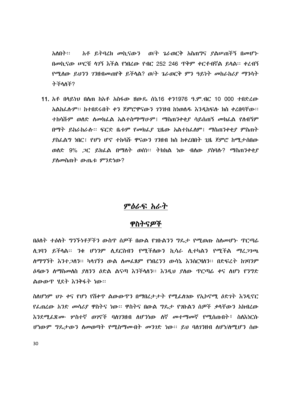አቶ ይትባረክ መኪናውን ወ/ት ኔራወርቅ አስጠግና ያልሠጠችኝ በመሆኑ አስበት። በመኪናው ሥርቼ ሳ7ኝ እችል የነበረው የብር 252 246 ጥቅም ቀርቶብኛል ይሳል፡፡ ቀረብኝ የሚሰው ይህንን ገንዘብመጠየቅ ይችላል? ወ/ት ጌራወርቅ ምን ዓይነት መከራከሪያ ማንሳት ትችላለች?

11. አቶ በሳይነህ በሰጠ ከአቶ አስፋው ዘውዴ ሰኔ16 ቀን1976 *ዓ.*ም.ብር 10 000 ተበድረው አልከፌሱም፡፡ ከተበደሩበት ቀን ጀምሮዋናውን ገንዝብ ከነወሰዱ እንዲከፍሱ ክስ ቀረበባቸው፡፡ ተከሳሹም ወሰድ ስመክፌል አልተስማማሁም፤ ማስጠንቀቂያ ሳይሰጠኝ መክፌል የሰብኝም በማት ይከራከራሱ፡፡ ፍርድ ቤቱም የመክፌያ ጊዜው አልተከፌለም፤ ማስጠንቀቂያ ምስጠት ያስፌልግ ነበር፤ የሆነ ሆኖ ተከሳሹ ዋናውን ገንዘብ ክስ ከቀረበበት ጊዜ ጀምሮ ከሚታሰበው ወሰድ 9% *ጋ*ር ይክፌል በማስት ወሰነ፡፡ ትክክል ነው ብሰው ያስባሱ? ማስጠንቀቂ*ያ* ያስመስጠት ውጤቱ ምንድነው?

# ምዕራፍ አራት

# ዋስትናዎች

በዕለት ተዕለት ግንኙነቶቻችን ውስጥ ሰዎች በውል የገቡልንን ግዴታ የሚወጡ ስለመሆኑ ጥርጣሬ ለ.203 ይችላል። 3ቁ ሆነንም ለደርስብን የሚችለውን ኪሳራ ለታካልን የሚችል ማረ*ጋገጫ* ለማማኘት እንተ*ጋ*ለን። ካላፖኝን ውል ለመፈጸም የነበረንን ውሳኔ እንስርዛለን። በድፍረት ከንባንም *ለዳ*ውን ለማስ*መ*ለስ የለንን ለድል ልናጣ እንችላለን። እንዳህ የለው <u>ዋርጣራ ቀና ለሆ</u>ነ የንግድ ልውውዋ ሃደት እንቅፋት ነው።

ስስሆነም ህጉ ቀና የሆነ የሽቀጥ ልውውጥን በማበረታታት የሚፌስገው የኢኮኖሚ ዕድገት እንዲኖር የፌጠሬው አንድ መሳሪያ ዋስትና ነው። ዋስትና በውል ግዴታ የገቡልን ሰዎች ቃላቸውን አክብሬው *እንደሚፌጽሙ ሦ*ስተኛ ወንኖች ባለንንዘብ ለሆንነው ለኛ መተማመኛ የሚሰጡበት፣ ስለእነርሱ ሆነውም ግዴታውን ስመወጣት የሚስማሙበት መንገድ ነው። ይህ ባስገንዘብ ስሆነ/ስሚሆን ሰው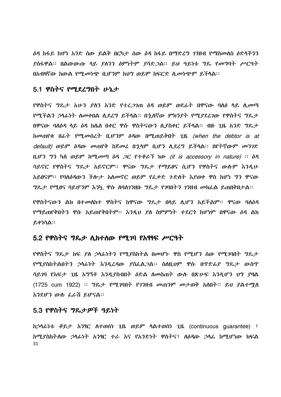*ዕዳ* ከፋይ ከሆነ አንድ ሰው ይልቅ በርካታ ሰው *ዕዳ* ከፋይ በማድረግ *ገን*ዘብ የማስመለስ *ዕ*ድሳችንን *ያስፋዋል፡፡ በልውውጡ ሳይ ያስንን ዕምነትም ያሳድጋል፡፡ ይህ ዓይነቱ ግ*ዴ *የመግ*ባት ሥርዓት በአብዛኛው ከውል የሚመነጭ ቢሆንም ከህግ ወይም ከፍርድ ሲመነጭም ይችላል፡፡

# 5.1 ዋስትና የሚደረግበት ሁኔታ

የዋስትና ግጼታ አሁን ያስን አንድ የተፈ*ጋገ*ጠ ዕዳ ወይም ወደፊት በዋናው ባሰዕ ላይ ሲመጣ የሚችልን ኃላፊነት ስመቀበል ሲደረግ ይችላል። በኋለኛው ምክንያት የሚያደረገው የዋስትና ግጼታ በዋናው ባሰዕዳ ላይ ዕዳ ከሌስ በቀር ዋሱ ዋስትናውን ሲያስቀር ይችላል። ብዙ ጊዜ አንድ ግጼታ hመጠየቁ በፊት የሚመሰረት ቢሆንም ዕዳው በሚጠይቅበት ጊዜ (when the debtor is at default) ወይም ዕዳው መጠየቅ ከጀመረ በኋላም ቢሆን ሲደረግ ይችሳል፡፡ በየትኛውም መንገድ  $0.03$  73 ካለ ወይም ከሚመጣ ዕዳ ጋር የተቆራኘ ነው (it is accessory in nature)  $\therefore$  ዕዳ ሳይኖር የዋስትና ግጼታ አይኖርም፡፡ ዋናው ግጼታ የማይፀና ሲሆን የዋስትና ውሱም እንዲሁ አይፀናም። የባለዕዳውን ችሎታ አለመኖር ወይም የፌቃድ ንድለት እያወቀ ዋስ ከሆነ ግን ዋናው *ግ*ጼታ የሚፀና ባይሆንም እንኳ ዋሱ ስባስገንዘቡ ግጼታ የገባበትን ገንዘብ መክፌል ይጠበቅበታል።

የዋስትናውን ልክ በተመሰከተ ዋስትና ከዋናው ግዴታ በሳይ ሲሆን አይችልም። ዋናው ባሰዕዳ የማይጠየቅበትን ዋሱ አይጠየቅበትም፡፡ እንዲህ ያለ ስምምነት ተደርጎ ከሆነም በዋናው *ዕዳ* ልክ ይቀነሳል።

# 5.2 የዋስትና ግዴታ ሲከተሰው የሚገባ የአፃፃፍ ሥርዓት

የዋስትና ግዴታ ከፍ ያለ ኃላፊነትን የሚያስከትል በመሆኑ ዋስ የሚሆን ሰው የሚገባበት ግዴታ የሚያስከትልበትን ኃላፊነት እንዲረዳው ያስፌል*ጋ*ል፡፡ ስለዚህም ዋሱ በጥድፊያ ግዴታ ውስጥ ሳይገባ የአፍታ ጊዜ አግኝቶ እንዲያስብበት ዕድል ስመስጠት ውስ በጽሁፍ እንዲሆን ህግ ያዛል  $(1725$  cum 1922) ፡፡ *ግ*ጼታ የሚ*ገ*ባበት የ*ገን*ዘብ መጠንም መታወቅ አለበት፡፡ ይህ ያልተሚለ እንደሆን ውሱ ፌራሽ ይሆናል።

# 5.3 የዋስትና ግዴታዎች ዓይነት

ከኃሳፊነቱ ቆይታ አንፃር ስተወሰነ ጊዜ ወይም ሳልተወሰነ ጊዜ (continuous guarantee) ፣ ከሚያስከትለው ኃላፊነት አንፃር ተራ እና የአንድነት ዋስትና፣ ለዕዳው ኃላፊ ከሚሆነው ክፍል 31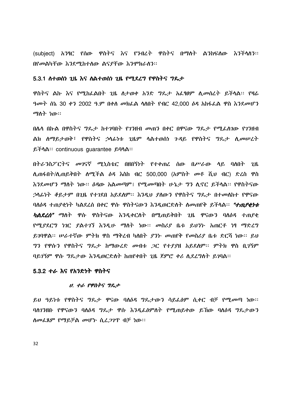(subject) አንፃር የሰው ዋስትና እና የንብረት ዋስትና በማስት ልንከፍለው እንችላለን። በየመልካቸው እንደሚከተሰው ልናያቸው እንሞክራስን፡፡

#### 5.3.1 ስተወሰነ ጊዜ እና ስልተወሰነ ጊዜ የሚደረግ የዋስትና ግዴታ

ዋስትና ልኩ እና የሚከራልበት ጊዜ ስታወቀ አንድ ግዴታ አፌፃፀም ሲመሰረት ይችላል፡፡ የዛሬ *ዓመት* ሰኔ 30 ቀን 2002 ዓ.ም በቀስ መክፌል ሳስበት የብር 42,000 *ዕዳ* አከፋፌል ዋስ እንደመሆን ማስት ነው።

በሌላ በኩል በዋስትና ግዴታ ከተገባበት የገንዘብ መጠን በቀር በዋናው ግዴታ የሚፌስገው የገንዘብ ልክ ስማይታወቅ፣ የዋስትና ኃላፊነቱ ጊዜም ላልተወሰነ ጉዳይ የዋስትና ግዴታ ሲመሠረት  $\beta$   $\ddagger$   $\gamma$   $\Delta$  :: continuous quarantee  $\beta$   $\gamma$  $\Delta$  ::

በትራንስፖርትና መገናኛ ሚኒስቴር በዘበኝነት የተቀጠረ ሰው በሥራው ሳይ ባለበት  $-2<sub>h</sub>$ ሲጠፋበት/ሲጠይቅበት ሰሚችል ዕዳ እስከ ብር 500,000 (አምስት መቶ ሺህ ብር) ድረስ ዋስ እንደመሆን ማስት ነው። ዕዳው አልመጣም፤ የሚመጣበት ሁኔታ ግን ሲኖር ይችሳል። የዋስትናው ኃላፊነት ቆይታም በ2ዜ የተገደበ አይደለም። እንዲህ ያለውን የዋስትና ግዴታ በተመለከተ የዋናው ባለዕዳ ተጠያቂነት ካልደረስ በቀር ዋሱ ዋስትናውን እንዲወርድለት ስመጠየቅ ይችላል። *"ተጠያቂነቱ ካልደረሰ"* ማለት ዋሱ ዋስትናው እንዲቀርለት በሚጠይቅበት ጊዜ ዋናውን ባለ*ስዳ* ተጠያቂ የሚያደርግ ነገር ያልተገኘ እንዲሁ ማስት ነው። መስሪያ ቤቱ ይህንኑ አጠርቶ ነፃ ማድረግ ይንባዋል። ሥራተኛው ምትክ ዋስ ማቅረብ ካለበት ያንኑ መጠየቅ የመስሪያ ቤቱ ድርሻ ነው። ይህ ግን የዋሱን የዋስትና ግዴታ ከማውረድ መብቱ ጋር የተያያዘ አይደለም፡፡ ምትክ ዋስ ቢገኝም ባይገኝም ዋሱ ግዴታው እንዲወርድለት ከጠየቀበት ጊዜ ጀምሮ ቀሪ ሲደረግለት ይገባል፡፡

### 5.3.2 ተራ እና የአንድነት ዋስትና

#### ሀ. ተራ የዋስትና ግዴታ

ይህ ዓይነቱ የዋስትና ግዴታ ዋናው ባሰዕዳ ግዴታውን ሳይፌፅም ሲቀር ብቻ የሚመጣ ነው። ባስገንዘቡ የዋናውን ባስዕዳ ግዴታ ዋሱ እንዲፌፅምስት የሚጠይቀው ይኸው ባስዕዳ ግዴታውን ስመፌጸም የማይቻል መሆኑ ሲረ*ጋገ*ጥ ብቻ ነው።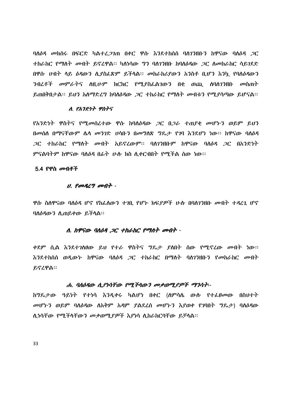ባለዕዳ መክሰሩ በፍርድ ካልተፈ*ጋገ*ጠ በቀር ዋሱ እንደተከሰሰ ባለገንዘቡን ከዋናው ባለዕዳ *ጋ*ር ተከራከር የማስት መብት ይኖረዋል። ካስነሳው ግን ባስገንዘቡ ከባስዕዳው ጋር ስመከራከር ሳይገደድ በዋሱ ሀብት ላይ ዕዳውን ሲያስፌጽም ይችላል፡፡ መከራከሪያውን አንስቶ ቢሆን እንኳ የባለዕዳውን ንብረቶች መምራትና ስዚሁም ክርክር የሚያስፌልገውን በቂ ወጪ ሰባስገንዘቡ መስጠት ይጠበቅበታል፡፡ ይህን አሰማድረግ ከባሰዕዳው ,ጋር ተከራከር የማሰት መብቱን የሚያሳጣው ይሆናል፡፡

#### ለ. የአንድነት ዋስትና

<u>የአንድነት ዎስትና የሚመሰረተው ዎሱ ከባለዕዳው *ጋ*ር በ*ጋራ ተ*ጠያቂ መሆኑን ወይም ይህን</u> በመስስ በማናቸውም ሴሳ መንገድ ሀሳቡን በመግለጽ ግዴታ የገባ እንደሆነ ነው። ከዋናው ባስዕዳ *ጋ*ር ተከራክር የማስት መብት አይኖረውም፡፡ ባስንንዘቡም ከዋናው ባስዕዳ *ጋ*ር በአንድነት ምናልባትም ከዋናው ባለዕዳ በፊት ሁሉ ክስ ሊቀርብበት የሚችል ሰው ነው።

#### 5.4 የዋስ *መ*ብቶች

#### $U.$   $P$   $\sigma$   $P$   $L$   $T$   $\sigma$   $\sigma$   $T$   $T$   $\sigma$   $T$   $T$   $\sigma$

ዋሱ ስለዋናው ባለዕዳ ሆኖ የከፌስውን ተገቢ የሆኑ ክፍያዎች ሁሉ በባለገንዘቡ መብት ተዳረጊ ሆኖ ባለ*ዕዳ*ውን ሊጠይቀው ይችሳል።

#### ለ. ከዋናው ባለዕዳ ጋር ተከራከር የማለት መብት -

ቀደም ሲል እንደተገለፀው ይህ የተራ ዋስትና ግዴታ ያለበት ሰው የሚኖረው መብት ነው። እንደተከሰሰ ወዲው*ኑ* ከዋናው ባለ*ዕዳ ጋ*ር ተከራከር በማለት ባለ*ገን*ዘቡን የ*መ*ከራከር መብት ይኖረዋል።

#### ሐ. ባለዕዳው ሲያነሳቸው የሚችላውን መቃወሚያዎች ማንሳት፡-

*ከግ*ጼታው ዓይነት የተነሳ እንዲቀሩ ካልሆነ በቀር (ስምሳሴ ውሱ የተ*ሌፀመ*ው በስሀተት መሆኑን ወይም ባለዕዳው ለአቅም አዳም ያልደረሰ መሆኑን እያወቀ የገባበት ግዴታ) ባለዕዳው ሲነሳቸው የሚችሳቸውን መቃወሚያዎች እያነሳ ሲከራከርባቸው ይቻሳል፡፡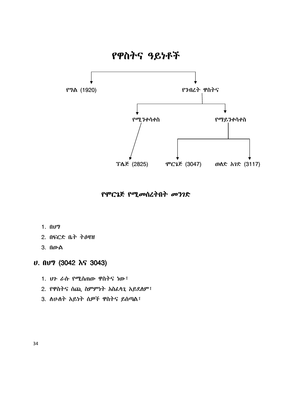- 3. ለሁለት አይነት ሰዎች ዋስትና ይሰጣል፣
- 2. የዋስትና ሰጪ ስምምነት አስፌሳጊ አይደሰም፣
- 1. ህን ራሱ የሚሰጠው ዋስትና ነው<sup>፣</sup>

# ሀ. በሀግ (3042 እና 3043)

- 3. በውል
- 2. በፍርድ ቤት ትዕዛዝ
- 1.  $0<sup>y</sup>$

የሞርጌጅ የሚመሰረትበት መንገድ

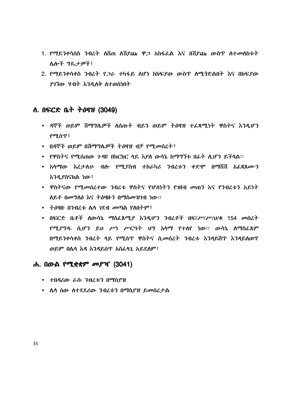- 1. የማይንቀሳሰስ ንብረት ሰሽጠ ሰሽደጩ ዋ*ጋ* አከፋፌል እና በሽደጩ ውስጥ ስተመሰከቱት **ሌሎች ግዴታዎች፣**
- 2. የማይንቀሳቀስ ንብረት የ*ጋራ* ተካፋይ ለሆነ ከክፍያው ውስጥ ለሚ*ጎ*ድልበት እና በክፍያው ያገኘው ሃብት እንዲለቅ ለተወሰነበት

# ለ. በፍርድ ቤት ትዕዛዝ (3049)

- ዳኞች ወይም ሽማግሌዎች ለሰጡት ብይን ወይም ትዕዛዝ ተፌጻሚነት ዋስትና እንዲሆን የሚሰጥ፣
- በዳኞች ወይም በሽማግሌዎች ትዕዛዝ ብቻ የሚመስረት፣
- የዋስትና የሚሰጠው ንዳዩ በክርክር ላይ እያለ ውሳኔ ከማግኘቱ በፊት ሲሆን ይችላል።
- አሳማው እረታሰሁ ብሎ የሚያስብ ተከራካሪ ንብረቱን ቀድሞ በማሸሽ አፌጻጸሙን እንዳ የስናክል ነው ፣
- ዋስትናው የሚመሰረተው ንብረቱ ዋስትና የሆስነትን የዝብ መጠን እና የንብረቱን አይነት ለይቶ በመግለፅ እና ትዕዛዙን በማስመዝንብ ነው።
- ትዕዛዙ በንብረቱ ሌሳ *ገ*ደብ መጣል የስበትም፣
- በፍርድ ቤቶች ለውሳኔ ማስፌጸሚያ እንዲሆን ንብረቶች በፍ/ሥ/ሥ/ህ/ቁ 154 መሰረት *የሚያግዱ* ሲሆን ይህ ሥነ ሥርዓት ህግ አሳማ የተሰየ ነው። ውሳኔ ሰማስፌጸም በማይንቀሳቀስ ንብረት ላይ የሚሰጥ ዋስትና ሲመስረት ንብረቱ እንዳይሽጥ እንዳይሰወጥ ወይም በሌሳ እዳ እንዳይሰጥ አስፈሳጊ አይደለም፣

# ሐ. በውል የሚቋቋም *መ*ያዣ (3041)

- ተበዳሪው ራሱ ንብረቱን በማስደዝ
- ሴሳ ሰው ስተደደሪው ንብረቱን በማስያዝ ይመሰረታል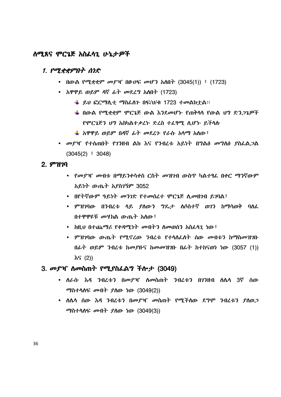# ስሚጸና ሞርጌጅ አስፌሳጊ ሁኔታዎች

# 1.  $P^{\sigma}P$ ደቋምበት ሰነድ

- በውል የሚቋቋም መያዣ በሁሀፍ መሆን አስበት (3045(1)) ፣ (1723)
- አዋዋይ ወይም ዳኛ ፊት መደረግ አለበት (1723)
	- $\frac{1}{2}$  ይህ ፎርማሲቲ ማስፌስን በፍ/ህ/ቁ 1723 ተመልክተል፡፡
	- ∔ በውል የሚቋቋም ሞርጌጅ ውል እንደመሆኑ የጠቅሳሳ የውል ህግ ድን*ጋጌዎች* የሞርጌጅን ህግ አስካልተቃረኑ ድረስ ተፈፃሚ ሲሆኑ ይችላሉ
	- ₩ አዋዋይ ወይም በዳኛ ፊት መደረጉ የራሱ አሳማ አለው፤
- መያዣ የተሰጠበት የገንዘብ ልክ እና የንብረቱ አይነት በግልፅ መግለፅ ያስፌል*ጋ*ል  $(3045(2) \div 3048)$

# $2.$   $9^{\circ}1170$

- *የመያዣ መ*ብቱ በማይንቀሳቀስ ርስት *መዝገ*ብ ውስጥ ካልተፃፌ በቀር ማንኛውም አይነት ውጤት አያስገኝም 3052
- በየትኛውም ዓይነት መንገድ የተመሰረተ ሞርጌጅ ሲመዘንብ ይንባል፣
- ምዝገባው በንብረቱ ሳይ ያስውን ግዴታ ሰሶሰተኛ ወገን ከማሳወቅ ባሰፌ በተዋዋዩቹ መሃከል ውጤት አስው፣
- http በተጨማሪ የቀዳሚነት መብትን ስመወሰን አስፈላጊ ነው፤
- ምዝንባው ውጤት የሚኖረው ንብረቱ የተሳለፈለት ስው መብቱን ከማስመዝንቡ በፊት ወይም ንብረቱ ከመያዙና ከመመዝገቡ በፊት ከተከናወነ ነው (3057 (1)) እና (2))

## 3. መያዣ ስመስጠት የሚያስፌልግ ችሎታ (3049)

- ሰራሱ እዳ ንብረቱን በመያዣ ስመስጠት ንብረቱን በንንዘብ ስሌሳ 3ኛ ሰው ማስተሳሰፍ መብት *ያ*ሰው ነው (3049(2))
- ስሴሳ ሰው እዳ ንብረቱን በመያዣ መስጠት የሚችለው ደግሞ ንብረቱን ያስወ*ጋ ማ*ስተሳሰፍ መብት ያስው ነው (3049(3))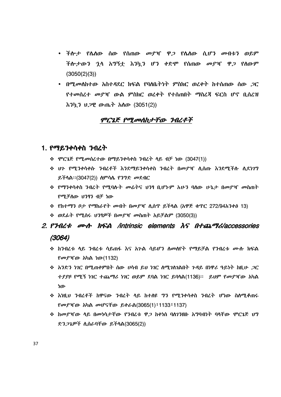- ችሎታ የሴስው ሰው የሰጠው *መያ*ዣ ዋ*ጋ* የሴስው ሲሆን መብቱን ወይም ችሎታውን ኋላ አግኝቷ እንኳን ሆን ቀድሞ የሰጠው መያዣ ዋ*ጋ* የሰውም  $(3050(2)(3))$
- $\bullet$  በሚመለከተው አስተዳደር ክፍል የባለቤትነት ምስክር ወረቀት ከተሰጠው ሰው *ጋ*ር *የተመስረተ መያዣ* ውል ምስክር ወረቀት የተሰጠበት ማስረጃ ፍርስ ሆኖ ቢሰረዝ እንኳን ህ*ጋ*ዊ ውጤት አስው (3051(2))

# ሞርጌጅ የሚመሰከታቸው ንብረቶች

# 1. የማይንቀሳቀስ *ን*ብረት

- \* ሞርጌጅ የሚመሰረተው በማይንቀሳቀስ ንብረት ላይ ብቻ ነው (3047(1))
- ❖ ህን የሚንቀሳቀሱ ንብረቶች እንደማይንቀሳቀስ ንብረት በመደዣ ሲሰጡ እንደሚችሉ ሲደነ**ን**ግ ይችሳል።(3047(2)) ስምሳሌ የንግድ መደብር
- ❖ የማንቀሳቀስ ንብረት የሚባሉት መሬትና ህንፃ ቢሆኑም አሁን ባለው ሁኔታ በመያዣ መስጠት የሚቻለው ህንፃን ብቻ ነው
- ❖ የከተማን ቦታ የማከራየት መብት በመያዣ ሲሰጥ ይችሳል (አዋጅ ቁጥር 272/94አንቀፅ 13)
- $\div$  ወደፊት የሚሰሩ ሀንፃዎች በመያዣ መስጠት አይቻልም (3050(3))

# 2. P34L t and hord lintrinsic elements  $\delta S$  A t an analyziaccessories  $(3064)$

- ❖ ከንብረቱ ላይ ንብረቱ ሳይጠፋ እና አንል ሳይሆን ለመሰየት የማይቻል የንብረቱ ሙሉ ክፍል *የመያዣ*ው አካል ነው(1132)
- ❖ አንድን ነገር በሚጠቀምበት ስው ሀሳብ ይህ ነገር ስሚገለገልበት ጉዳይ በነዋሪ ዓይነት ከዚሁ *ጋ*ር ተያያዞ የሚኝ ነገር ተጨማሪ ነገር ወይም ደባል ነገር ይባሳል(1136)። ይህም የመያዣው አካል ነው
- ❖ እነዚህ ንብረቶች ከዋናው ንብረት ላይ ከተለዩ *ግን የሚንቀ*ሳቀስ ንብረት ሆነው ስለሚቆጠሩ የመያዣው አካል መሆናቸው ይቀራል(3065(1) ፣ 1133 ፣ 1137)
- ❖ ከመያዣው ላይ በመነሳታቸው የንብረቱ ዋ*ጋ* ከቀነሰ ባለገንዘቡ አግባብነት ባላቸው ሞርጌጅ ህግ ድን*ጋጌዎች* ሲሰራባቸው ይችሳል(3065(2))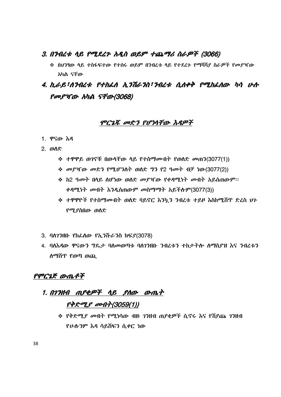# 3. በንብረቱ ሳይ የሚደረጉ አዲስ ወይም ተጨማሪ ስራዎች (3066)

**◆ በሀንፃው ሳይ ተስፋፍተው የተሰሩ ወይም በንብረቱ ሳይ የተደረጉ የማሻሻ***ያ ስራዎች የመያ***ዣው** አካል ናቸው

# $4. h$ ራይ፣ለንብረቱ የተከፌስ ኢንሽራንስ፣ንብረቱ ሲለቀቅ የሚከፌሰው ካሳ ሁሉ የመያዣው አካል ናቸው(3068)

# ሞርጌጁ መድን የሆነሳቸው እዳዎች

- 1. ዋናው እዳ
- 2. ወለድ
	- ❖ ተዋዋይ ወገኖቹ በውሳቸው ሳይ የተስማሙበት የወለድ መጠን(3077(1))
	- ❖ መያዣው መድን የሚሆንስት ወስድ **ግን የ2 ዓ**መት ብቻ ነው(3077(2))
	- ❖ ከ2 *ዓመት* በሳይ ለሆነው ወለድ *መያገ*ናው የቀዳሚነት *መ*ብት አይሰጠውም። ቀዳሚነተ መብተ እንዲሰጠውም መስማማተ አይችሉም(3077(3))
	- ❖ ተዋዋዮች የተስማሙበት ወስድ ባይኖር እንኳ*ን ን*ብረቱ ተይዞ እስከሚሸዋ ድ<mark>ረስ ህ</mark>ን የሚያስበው ወስድ
- 3. ባለ7ንዘቡ የከፌለው የኢንሹራንስ ክፍያ(3078)
- 4. ባለእዳው ዋናውን ግዴታ ባለመወጣቱ ባለ7ንዘቡ ንብረቱን ተከታተሎ ለማስያዝ እና ንብረቱን ስማሽጥ የወጣ ወጪ

# $PPC2E$  ውጤቶች

# 1. በ*17ዘብ ጠያቂዎች ላይ ያለው ውጤት* <u>የቅድሚያ መብተ(3059(1))</u>

❖ የቅድሚ*ያ ሙ*ብት የሚነሳው ብዙ *ገን*ዘብ ጠያቂዎች ሲኖሩ እና የሽያጩ *ገን*ዘብ <u>የሁሉንም እዳ ሳይሸፍን ሲቀር ነው</u>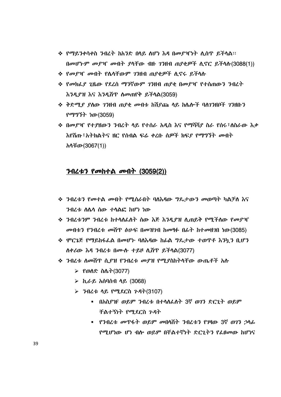- ❖ የማይንቀሳቀስ ንብረት ከአንድ በላይ ስሆነ እዳ በመያዣነት ሲሰዋ ይችሳል። በመሆኑም መያዣ መብት ያሳቸው ብዙ 7ንዘብ ጠያቂዎች ሲኖር ይችሳሱ(3088(1))
- ❖ *የመያዣ መ*ብት የሴሳቸውም *ገ*ንዘብ ጠያቂዎች ሲኖሩ ይችላሉ
- ❖ የመክፌያ ጊዜው የደረሰ ማንኛውም *ገ*ንዘብ ጠያቂ በመያዣ የተሰጠውን ንብረት እንዲያዝ እና እንዲሽጥ ስመጠየቅ ይችሳል(3059)
- ❖ ቅድ*ሚያ ያ*ለው *ገን*ዘብ ጠያቂ *መ*ብቱ ከሽያጩ ላይ ከሌሎች ባለገንዘቦች ገንዘቡን የማግኘት ነው(3059)
- ❖ በመያዣ የተያዘውን ንብረት ሳይ የተሰራ አዲስ እና የማሻሻያ ስራ የሰሩ፣ለስራው እቃ እየሸጡ፣አትክልትና ዘር የሰብል ፍሬ ቀረቡ ሰ*ዎች ክ*ፍ*ደ የማግኘ*ት *መ*ብት አሳቹው(3067(1))

# ንብረቱን የመከተል መብት (3059(2))

- ❖ ንብረቱን የመተል መብት የሚሰራበት ባለእዳው ግዴታውን መወጣት ካልቻለ እና ንብረቱ ስሌሳ ሰው ተሳልፎ ከሆነ ነው
- **❖ ንብረቱንም ንብረቱ ከተሳለፌስት ሰው እጅ እንዲያዝ ሲጠይቅ የሚችለው የመያዣ** መብቱን የንብረቱ መሸጥ ፅሁፍ በመዝንበ ከመፃፉ በፊት ከተመዘንበ ነው(3085)
- ❖ ሞርጌጅ የማይከፋፌል በመሆኑ ባስ**እዳው ከ**ፊል **ግ**ዴታው ተወጥቶ እንኳን ቢሆን ሰቀሪው እዳ ንብረቱ በሙሱ ተይዞ ሲሸዋ ይችሳል(3077)
- ❖ ንብረቱ ስመሽዋ ሲ*ያዝ የን*ብረቱ መያዝ የሚያስከትላቸው ውጤቶች አሉ
	- *► የወስ*ድ ስሌ*ት* (3077)
	- $\triangleright$  ኪራይ አሰባሰብ ሳይ (3068)
	- $>$  3-12 + 12 PTRCh 7-84 (3107)
	- - በአስያገና ወይም ንብረቱ በተሳሰፌስት 3ኛ ወገን ድርጊት ወይም
		- ቸልተኝነት የሚደርስ ጉዳት • የንብረቱ መጥፋት ወይም መበሳሽት ንብረቱን የንዛው 3ኛ ወገን ኃሳፊ

የሚሆነው ሆነ ብሎ ወይም በቸልተኛነት ድርጊትን የፌፀመው ከሆነና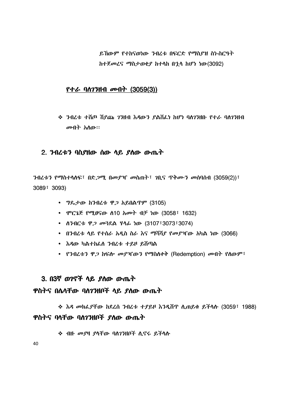ይኸውም የተከናወነው ንብረቱ በፍርድ የማስያዝ ስነ-ስርዓት ከተጀመረና ማስታወቂያ ከተላከ በኋላ ከሆነ ነው(3092)

# <u>የተራ ባለንንዘብ መብት (3059(3))</u>

 <=6 82° ¾/ )|< :\_ 32F( 0;( NQ)|S 8 NQ)|< *መ*ብት አለው።

# $2.$  ንብረቱን ባስያዘው ሰው ሳይ ያስው ውጤት

ንብረቱን የማስተላለፍ፣ በድ*ጋሚ* በመ*ያ*ዣ መስጠት፣ *ገ*ቢና ጥቅሙን መሰባሰብ (3059(2))፣ 3089! 3093)

- $9\%$ ታው ከንብረቱ ዋጋ አይበልጥም (3105)
- ሞርጌጅ የሚፀናው ስ10 አመት ብቻ ነው (3058፣ 1632)
- ስንብርቱ ዋ*ጋ መጓ*ደል ሃሳፊ ነው (3107፣3073፣3074)
- በንብረቱ ሳይ የተሰራ አዲስ ስራ እና ማሻሻ*ያ የመያገ*ናው አካል ነው (3066)
- $\bullet$   $\lambda$ ዳው ካልተከፌሰ ንብረቱ ተይዞ ይሸጣል
- የንብረቱን ዋ*ጋ* ከፍሎ *መያ*ዣውን የማስለቀቅ (Redemption) *መ*ብተ የለውም፣

# 3. በ3ኛ ወንኖች ላይ ያለው ውጤት

# ዋስትና በሌላቸው ባለ7ንዘቦች ላይ ያለው ውጤት

❖ እዳ መክፌያቸው ከደረሰ ንብረቱ ተያይዞ እንዲሽጥ ሲጠይቁ ይችላሱ (3059፣ 1988) ዋስትና ባላቸው ባለንንዘቦች ያለው ውጤት

❖ ብዙ *መያ*ዛ *ያ*ሳቸው ባስ7ንዘቦች ሲኖሩ ይችላሱ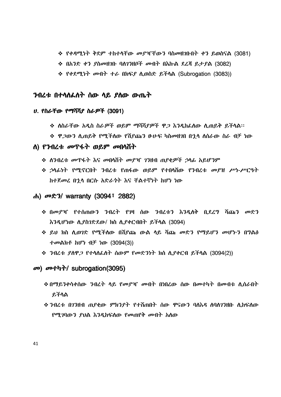- $\div$  የቀዳሚነት ቅደም ተከተሳቸው መያዣቸውን ባስመዘገቡበት ቀን ይወስናል (3081)
- $\div$  በአንድ ቀን ያስመዘገቡ ባለንንዘቦች መብት በእኩል ደረጃ ይታያል (3082)
- $\div$  የቀደሚነት መብት ተራ በክፍያ ሲወስድ ይችላል (Subrogation (3083))

# ንብረቱ በተሳስፌስት ሰው ሳይ ያስው ውጤት

## U. የስራቸው የማሻሻያ ስራዎች (3091)

- ❖ ስስራቸው አዲስ ስራ*ዎ*ች ወይም ማሻሻ*ያዎ*ች ዋ*ጋ* እንዲከፌስው ሲጠይቅ ይችሳል።
- ❖ ዋ*ጋ*ውን ሲጠይቅ የሚችለው የሽያጩን ፁሁፍ ካስመዘ*ገ*በ በ'ኒሳ ለሰራው ስራ ብቻ ነው

# <u>ለ) የንብረቱ መጥፋት ወይም መበሳሽት</u>

- ❖ ሰንብረቱ መጥፋት እና መበሳሽት መያዣ ገንዘብ ጠያቂዎች ኃሳፊ አይሆንም
- ❖ ኃሳፊነት የሚኖርበት ንብረቱ የጠፋው ወይም የተበሳሽው የንብረቱ *መያዝ ሥነ-ሥርዓ*ት ከተጀመረ በኂሳ በርሱ አድራጎት እና ቸልተኛነት ከሆነ ነው

#### ሐ) መድን/ warranty (3094፣ 2882)

- ❖ በመያዣ የተሰጠውን ንብረት የንዛ ሰው ንብረቱን እንዲለቅ ቢደረ**ግ ሻጩን መ**ድን እንዲሆነው ሲያስገድደው/ ክስ ሲያቀርብበት ይችሳል (3094)
- ❖ ይህ ክስ ሲወገድ የሚችሰው በሽያጩ ውል ላይ ሻጩ *መ*ድን የማይሆን መሆኑን በ**ግል**ፅ ተመልክቶ ከሆነ ብቻ ነው (3094(3))
- ❖ ንብረቱ *ያ*ስዋ*ጋ* የተሳሰፌስት ሰውም የመድንነት ክስ ሲያቀርብ ይችሳል (3094(2))

# መ) መተካት/ subrogation(3095)

- ❖ በማይንቀሳቀሰው ንብረት ላይ የመያዣ መብት በነበረው ሰው በመተካት በመብቱ ሲሰራበት ይችሳል
- ❖ ንብረቱ በ7ንዘብ ጠ*ያ*ቂው *ምክንያት የተ*ሸጠበት ሰው ዋናውን ባለእዳ ለባለ7ንዘቡ ሲከፍለው *የሚገ*ባውን ያህል እንዲከፍለው የመጠየቅ መብት አለው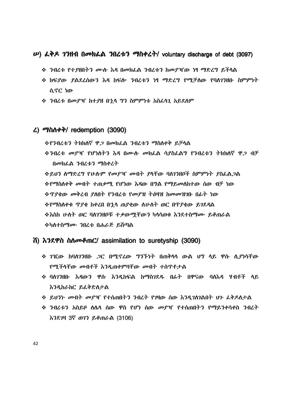# $\boldsymbol{\nu}$ ) *ιλλε 1*3H1 Π*σ*υλιλ 3Π*Δ* τ *σ*λλε λ/ voluntary discharge of debt (3097)

- ❖ ንብረቱ የተያዘበትን ሙሉ እዳ በመክፌል ንብረቱን ከመያዣው ነፃ ማድረግ ይችላል
- ❖ ክፍደው ደልደረሰውን እዳ ከፍሎ ንብረቱን ነፃ ማድረግ የሚቻለው የባለገንዘቡ ስምምነት ሲኖር ነው
- ❖ ንብረቱ በመደዣ ከተደዘ በኋላ **ግን ስምምነቱ አስ**ፌሳጊ አይደለም

# $\lambda$ ) ማስሰቀቅ/ redemption (3090)

**᠅**የንብረቱን ትክክለኛ ዋ*ጋ* በመክፌል ንብረቱን ማስለቀቅ ይቻላል

<u> ፉንብረቱ መደዣ የሆነለትን እዳ በሙሉ መክፌል ሳያስፌልግ የንብረቱን ትክክለኛ ዋጋ ብቻ</u> በመክፌል ንብረቱን ማስቀረት

**¢የማስሰቀቅ መብት ተጠቃሚ የሆነው እዳው በግል የማይመሰከተው ሰው ብቻ ነው** *��* **ዋደቂው መቅረብ ደስበት የንብረቱ የመደዝ ትዕዛዝ ከመመዝገቡ በ**ፊት ነው **᠅**የማስሰቀቁ ጥያቄ ከቀረበ በኋላ ጠያቂው ሰሁሰት ወር በጥያቄው ይገደዳል ❖እስከ ሁለት ወር ባለ?ንዘቦቹ ተቃውሚቸውን ካላሳወቁ እንደተስማ*ሙ* ይቆጠራል ❖ካለተስ*ማሙ ን*በረቱ በሐራጅ ይሸጣል

# 

- ❖ *ገ*ገርው ከባለንንዘቡ *ጋ*ር በሚኖረው ግንኙነት በጠቅላሳ ውል ህግ ላይ ዋሱ ሲያነሳቸው የሚችላቸው መብቶች እንዲጠቀምባቸው መብት ተሰዋቶታል
- ❖ ባለንንዘቡ *እዳ*ውን ዋሱ እንዲከፍል ከማስንደ**ዱ በፊት በዋናው ባለእዳ ሃብቶ**ች ላይ እንዲከራከር ይፈቅድስታል
- ❖ ይህንነ· መብት መያዣ የተሰጠበትን ንብረት የገዛው ሰው እንዲገስገልበት ህጉ ፌቅዶስታል
- <u>়ই ንብረቱን አስይዞ ለሌላ ሰው ዋስ የሆነ ሰው መያዣ የተሰጠበትን የማይንቀሳቀስ ንብረት</u> እንደገዛ 3ኛ ወገን ይቆጠራል (3106)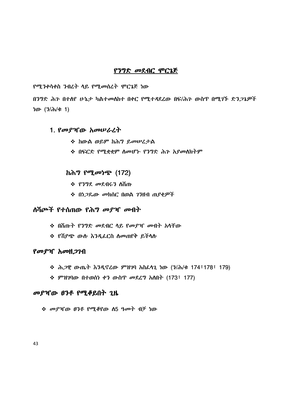# የንግድ መደብር ሞርጌጅ

የሚንቀሳቀስ ንብረት ላይ የሚመስረት ሞርጌጅ ነው

በንግድ ሕን በተሰየ ሁኔታ ካልተመሰከተ በቀር የሚተዳደረው በፍ/ሕን ውስጥ በሚገኙ ድን*ጋጌዎ*ች ነው  $(3/\lambda)$ ቁ 1)

## 1. የመያዣው አመሠራረት

- ❖ ከውል ወይም ከሕግ ይመሠረታል
- ❖ በፍርድ የሚቋቋም ስመሆኑ የንግድ ሕጉ አያመለክትም

# *ከሕግ የሚመነጭ (172)*

- ❖ የንግደ *መ*ደብሩን ስሽጡ
- ❖ በ*ነጋ*ጼው መክሰር በወል 7ንዘብ ጠ*ያቂዎች*

# <u>ለሽጮች የተሰጠው የሕግ መያዣ መብት</u>

- ❖ በሽጡት የንግድ መደብር ላይ የመያዣ መብት አላቸው
- ❖ የሽያጭ ውሱ እንዲፌርስ ስመጠየቅ ይችሳሱ

# የመያዣ አመዘ*ጋገ*ብ

- $\cdot$  ሕ*ጋ*ዊ ውጤት እንዲኖረው ምዝገባ አስራሳጊ ነው (ን/ሕ/ቁ 174፣178፣ 179)
- $\Leftrightarrow$  ምዝገባው በተወሰነ ቀን ውስጥ መደረግ አለበት (173፣ 177)

# መያዣው ፀንቶ የሚቆይበት ጊዜ

**᠅ መያዣው ፀንቶ የሚቆየው ስ5 ዓመት ብቻ ነው**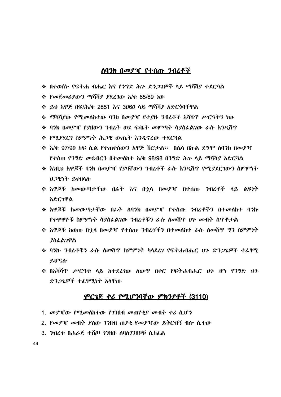# <u>ለባንክ በመያዣ የተሰጡ ንብረቶች</u>

- ❖ በተወሰኑ የፍትሐ ብሔር እና የን**ፃድ ሕን ድን***ጋጌዎች* **ላይ ማ**ሻሻደ ተደር<del>3</del>ል
- ❖ የመጀመሪያውን ማሻሻያ ያደረገው አ/ቁ 65/89 ነው
- **❖ ይሀ አዋጅ በፍ/ሕ/ቁ 2851 እና 3060 ላይ ማሻሻያ አድርጎባቸዋል**
- ❖ ማሻሻ*ያ*ው የሚ*መ*ለከተው ባንክ በመያዣ የተያዙ ንብረቶች አሻሻጥ ሥርዓትን ነው
- ❖ ባንክ በመደዣ የ*የ*ዘውን ንብረት ወደ ፍ/ቤት መምጣት ሳያስፈልገው ራሱ እንዳሽጥ
- ❖ የሚያደርገ ስምምነት ሕ*ጋ*ዊ ውጤት እንዳኖረው ተደርጓል
- ❖ አ/ቁ 97/90 ከፍ ሲል የተጠቀሰውን አዋጅ ሽሮታል። በሌላ በኩል ደግሞ ለባንክ በመደዣ የተሰጠ የንግድ መደብርን በተመለከተ አ/ቁ 98/98 በንግድ ሕን ላይ ማሻሻደ አድር3ል
- ❖ እነዚህ አዋጆች ባንክ በመደዣ የደዛቸውን ንብረቶች ራሱ እንዲሸጥ የሚደደርገውን ስምምነት ህ ጋዋነት ይቀበላሉ
- ❖ አዋጆቹ ከመውጣታቸው በፊት እና በኂሳ በመያዣ በተሰጡ *ን*ብረቶች ሳይ ልዩነት አድርገዋል
- ❖ አዎጆቹ *ከመ*ውጣታቸው በፊት ለባንክ በመያዣ የተሰጡ ንብረቶችን በተመለከተ ባንኩ የተዋዋዮቹ ስምምነት ሳያስፌልንው ንብረቶቹን ራሱ ስመሽዋ ህን መብት ሰጥቶታል
- ❖ አዎጆቹ ከወጡ በኃላ በ*መ*ደዣ የተሰጡ ንብረቶችን በተመለከተ ራሱ ለመሸጥ **ግን ስምምነ**ት **ያስፌልንዋል**
- ❖ ባንኩ ንብረቶቹን ራሱ ስመሸጥ ስምምነት ካላደረን የፍትሐብሔር *ህጉ ድንጋጌዎች ተ*ፈፃሚ ይሆናሉ
- ❖ በአሻሻጥ ሥርዓቱ ላይ ከተደረገው ለውጥ በቀር የፍትሐብሔር *ህጉ ሆነ* የንግድ *ህጉ* ድን*ጋጌዎች ተልየሚነት አ*ሳቸው

## ምርጌጅ ቀሪ የሚሆንባቸው ምክንያቶች (3110)

- 1. መያዣው የሚመስከተው የገንዘብ መጠየቂያ መብት ቀሪ ሲሆን
- 2. የመያዣ መብት ያስው ገንዘብ ጠያቂ የመያዣው ይቅርብኝ ብሎ ሲተው
- 3. ንብረቱ በሐራጅ ተሸጦ ገንዘቡ ለባለገንዘቦቹ ሲከፌል

44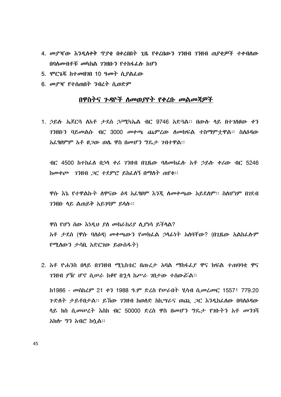- 4. መያዣው እንዲስቀቅ ጥያቄ በቀረበበት ጊዜ የቀረበውን ገንዘብ ገንዘብ ጠያቂዎች ተቀብስው በባለመብቶቹ *መ*ካከል *ገ*ንዘቡን የተከፋፌሉ ከሆነ
- 5. ሞርጌጁ ከተመዘገበ 10 ዓመት ሲያልፌው
- 6. መያዣ የተሰጠበት ንብረት ሲወድም

## በዋስትና *ጉዳ*ዮች ስመወ*ያ*የት የቀረቡ መልመጃዎች

1. ኃይስ ኤጀርሳ ሰአቶ ታደሰ ኃ/ሚካኤል ብር 9746 አድ3ል፡፡ በውስ ሳይ በተገስፀው ቀን *ገን*ዘቡ*ን* ባይመልሱ ብር 3000 መቀጫ ጨምረው ስመክፍል ተስማምተዋል፡፡ ስስ*ስዳ*ው አፌፃፀምም አቶ ፀ*ጋ*ው ወሴ ዋስ በመሆን ግዴታ *ገ*ብተዋል፡፡

ብር 4500 ከተከፈሰ በኃሳ ቀሪ ገንዘብ በጊዜው ባስመክፈስ አቶ ኃይስ ቀሪው ብር 5246 ከመቀጮ ገንዘብ *ጋ*ር ተደምሮ ይከፌስኝ በማስት ጠየቁ፡፡

ዋሱ እኔ የተዋልኩት ሰዋናው ዕዳ አፌፃፀም እንጂ ስመቀጫው አይደሰም፡፡ ስስሆነም በገደብ  $73$ ዚቡ ሳይ ልጠይቅ አይ $79$ ም ይሳሉ።

ዋስ የሆነ ሰው እነዲህ ያስ መከራከሪያ ሲያነሳ ይችሳል? አቶ ታደሰ (ዋሱ ባሰዕዳ) መቀጫውን የመክፌል ኃሳፊነት አሰባቸው? (በጊዜው አልከፌሱም የሚሰውን ታሳቢ አድርገው ይውሰዱት)

2. አቶ ዮሐንስ በሳይ በ7ንዘብ ሚኒስቴር በጡረታ አባል ማከፋፌያ ዋና ክፍል ተጠባባቂ ዋና *ገን*ዘብ *ያኺ ሆኖ ሲሡራ ከቆየ በኋላ ከሥራ ገ*በታው ተሰውሯል።

ከ1986 - መስከረም 21 ቀን 1988 ዓ.ም ድረስ የሠራበት ሂሳብ ሲመረመር 1557፣ 779.20 ንድስት ታይቶበታል። ይኸው *ገን*ዘብ ከወስድ ከኪሣራና ወጪ *ጋ*ር እንዲከፈሰው በባስዕዳው ላይ ክስ ሲመሠረት እስከ ብር 50000 ድረስ ዋስ በመሆን ግዴታ የገቡትን አቶ መንገሻ አክሎ *ግን* አብሮ ከሷል፡፡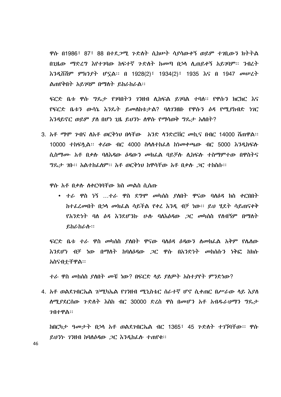ዋሱ በ1986፣ 87፣ 88 በተደ*ጋሚ ጉ*ድስት ሲከሥት ሳያሳውቀኝ ወይም ተገቢውን ክትትል በጊዜው ማድረግ እየተገባው ከፍተኛ ጉድስት ከመጣ በኃሳ ሲጠይቀኝ አይገባም፡፡ ንብረት እንዲሸሽም ምክንያት ሆኗል፡፡ በ 1928(2)፣ 1934(2)፣ 1935 እና በ 1947 መሠረት ልጠየቅበት አይገባም በማስት ይከራከራል፡፡

ፍርድ ቤቱ ዋሱ ግዴታ የገባበትን ገንዘብ ሲከፍል ይገባል ተባለ፡፡ የዋሱን ክርክር እና የፍርድ ቤቱን ውሳኔ እንዴት ይመስከቱታል? ባስገንዘቡ የዋሱን ዕዳ የሚያከብድ ነገር እንዳይኖር ወይም ያስ በሆነ ጊዜ ይህንት ስዋሱ የማሳወቅ ግዴታ አስበት?

3. አቶ ማሞ ሥበና ሰአቶ ወርቅነህ በሳቸው አንድ ሳንድሮሽር መኪና በብር 14000 ሽጠዋል፡፡ 10000 ተከፍሏል፡፡ ቀሪው ብር 4000 ስላስተከፌስ ከነመቀጫው ብር 5000 እንዲከፍሱ ሲስማሙ አቶ በቃሉ ባለእዳው *ዕዳ*ውን መክፌል ባይቻሉ ሲከፍሉ ተስማምተው በዋስትና *ግ*ጼታ *ገ*ቡ፡፡ አልተከፌሰም፡፡ አቶ ወርቅነህ ከዋሳቸው አቶ በቃሉ *ጋ*ር ተከስሱ፡፡

*ዋ*ሱ አቶ በቃሉ ለቀርባባቸው ክስ መልስ ሲሰጡ

 $\bullet$  ተራ ዋስ ነኝ ...ተራ ዋስ ደግሞ መካሰስ ያለበት ዋናው ባለ $b$ ዳ ክስ ቀርበበት ከተፌረመበት በኃሳ መክፌል ሳይችል የቀረ እንዲ ብቻ ነው፡፡ ይህ ሂደት ሳይጠናቀቅ *የአንድነት ባለ 6ዳ እን*ደሆ*ን*ኩ ሁሉ ባለእ*ዕዳ*ው *ጋር መ*ካሰስ የለብኝም በማለት ይከራከራሱ።

ፍርድ ቤቱ ተራ ዋስ መካሰስ ያለበት ዋናው ባሰዕዳ ዕዳውን ስመክፌል አቅም የሴስው እንደሆነ ብቻ ነው በማለት ከባለ*ዕዳ*ው *ጋ*ር ዋሱ በአንድነት መከሰሱን ነቅፎ ከክሱ አስናብቷቸዋል።

ታራ ዋስ መክሰስ የለበት መቺ ነው? በፍርድ ላይ የለዎት አስተየየት ምንድነው?

4. አቶ ወልደንብርኤል ገ/ሚካኤል የንንዘብ ሚኒስቴር ሰራተኛ ሆኖ ሲቀጠር በሥራው ሳይ እያስ ለሚያደርሰው *ጉ*ድለት እስከ ብር 30000 ድረስ ዋስ በመሆን አቶ አብዱራህማን ግዴታ ንብተዋል።

*ከ*በርካታ *ዓመታት* በኃላ አቶ ወልደ*ገ*ብርኤል ብር 1365፣ 45 ንድለት ተገኘባቸው፡፡ ዋሱ ይህንት ገንዘብ ከባለዕዳው ጋር እንዲከፌሱ ተጠየቁ፡፡

46